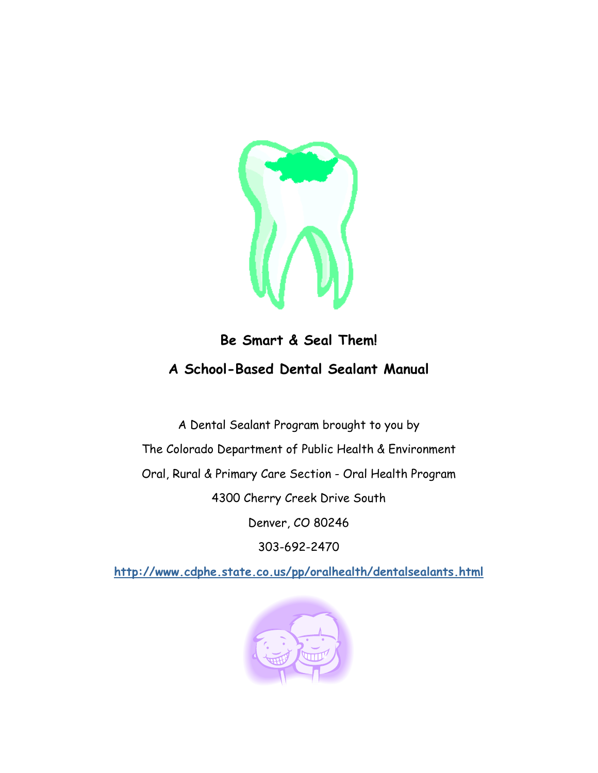

#### **Be Smart & Seal Them! A School-Based Dental Sealant Manual**

A Dental Sealant Program brought to you by The Colorado Department of Public Health & Environment Oral, Rural & Primary Care Section - Oral Health Program 4300 Cherry Creek Drive South Denver, CO 80246 303-692-2470

**<http://www.cdphe.state.co.us/pp/oralhealth/dentalsealants.html>**

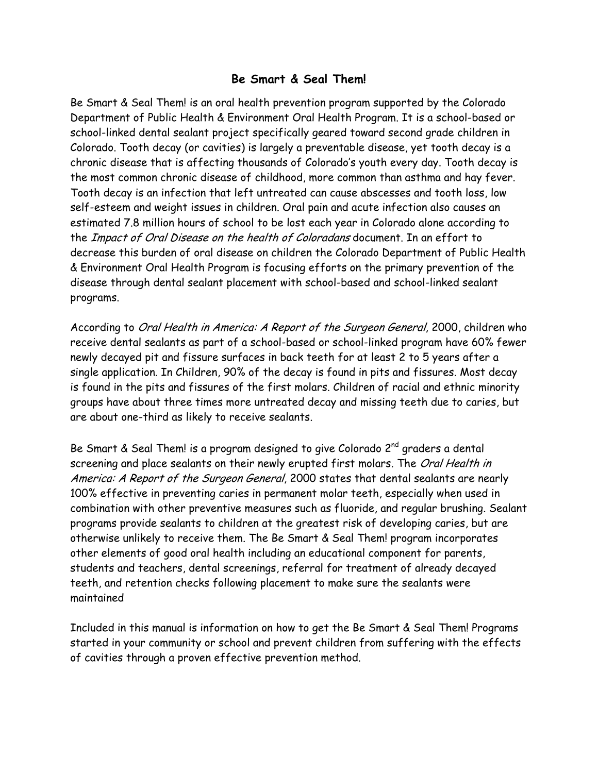#### **Be Smart & Seal Them!**

Be Smart & Seal Them! is an oral health prevention program supported by the Colorado Department of Public Health & Environment Oral Health Program. It is a school-based or school-linked dental sealant project specifically geared toward second grade children in Colorado. Tooth decay (or cavities) is largely a preventable disease, yet tooth decay is a chronic disease that is affecting thousands of Colorado's youth every day. Tooth decay is the most common chronic disease of childhood, more common than asthma and hay fever. Tooth decay is an infection that left untreated can cause abscesses and tooth loss, low self-esteem and weight issues in children. Oral pain and acute infection also causes an estimated 7.8 million hours of school to be lost each year in Colorado alone according to the Impact of Oral Disease on the health of Coloradans document. In an effort to decrease this burden of oral disease on children the Colorado Department of Public Health & Environment Oral Health Program is focusing efforts on the primary prevention of the disease through dental sealant placement with school-based and school-linked sealant programs.

According to Oral Health in America: A Report of the Surgeon General, 2000, children who receive dental sealants as part of a school-based or school-linked program have 60% fewer newly decayed pit and fissure surfaces in back teeth for at least 2 to 5 years after a single application. In Children, 90% of the decay is found in pits and fissures. Most decay is found in the pits and fissures of the first molars. Children of racial and ethnic minority groups have about three times more untreated decay and missing teeth due to caries, but are about one-third as likely to receive sealants.

Be Smart & Seal Them! is a program designed to give Colorado 2<sup>nd</sup> graders a dental screening and place sealants on their newly erupted first molars. The Oral Health in America: A Report of the Surgeon General, 2000 states that dental sealants are nearly 100% effective in preventing caries in permanent molar teeth, especially when used in combination with other preventive measures such as fluoride, and regular brushing. Sealant programs provide sealants to children at the greatest risk of developing caries, but are otherwise unlikely to receive them. The Be Smart & Seal Them! program incorporates other elements of good oral health including an educational component for parents, students and teachers, dental screenings, referral for treatment of already decayed teeth, and retention checks following placement to make sure the sealants were maintained

Included in this manual is information on how to get the Be Smart & Seal Them! Programs started in your community or school and prevent children from suffering with the effects of cavities through a proven effective prevention method.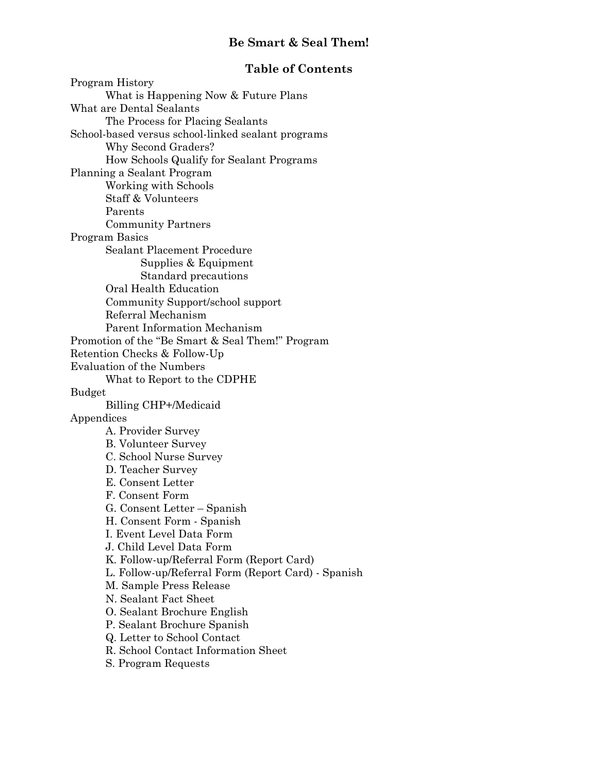#### **Be Smart & Seal Them!**

#### **Table of Contents**

Program History What is Happening Now & Future Plans What are Dental Sealants The Process for Placing Sealants School-based versus school-linked sealant programs Why Second Graders? How Schools Qualify for Sealant Programs Planning a Sealant Program Working with Schools Staff & Volunteers Parents Community Partners Program Basics Sealant Placement Procedure Supplies & Equipment Standard precautions Oral Health Education Community Support/school support Referral Mechanism Parent Information Mechanism Promotion of the "Be Smart & Seal Them!" Program Retention Checks & Follow-Up Evaluation of the Numbers What to Report to the CDPHE Budget Billing CHP+/Medicaid Appendices A. Provider Survey B. Volunteer Survey C. School Nurse Survey D. Teacher Survey E. Consent Letter F. Consent Form G. Consent Letter – Spanish H. Consent Form - Spanish I. Event Level Data Form J. Child Level Data Form K. Follow-up/Referral Form (Report Card) L. Follow-up/Referral Form (Report Card) - Spanish M. Sample Press Release N. Sealant Fact Sheet O. Sealant Brochure English P. Sealant Brochure Spanish Q. Letter to School Contact R. School Contact Information Sheet S. Program Requests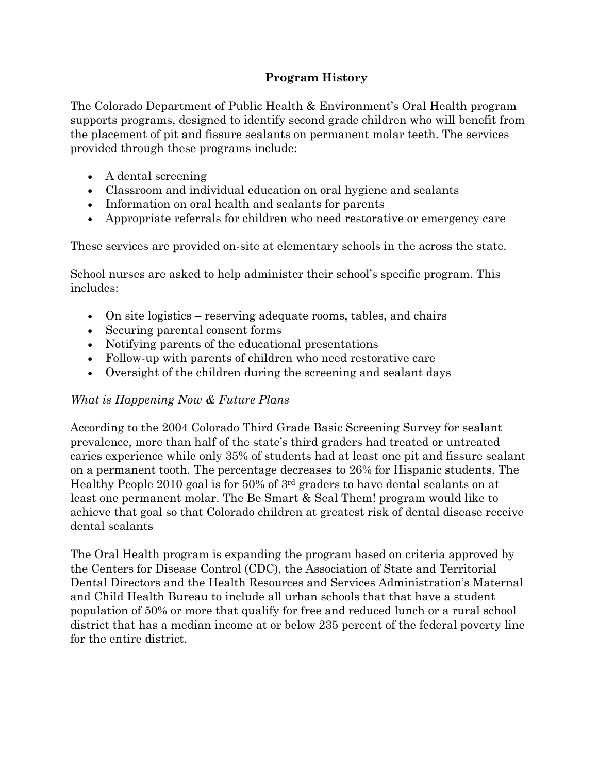#### **Program History**

The Colorado Department of Public Health & Environment's Oral Health program supports programs, designed to identify second grade children who will benefit from the placement of pit and fissure sealants on permanent molar teeth. The services provided through these programs include:

- A dental screening
- Classroom and individual education on oral hygiene and sealants
- Information on oral health and sealants for parents
- Appropriate referrals for children who need restorative or emergency care

These services are provided on-site at elementary schools in the across the state.

School nurses are asked to help administer their school's specific program. This includes:

- On site logistics reserving adequate rooms, tables, and chairs
- Securing parental consent forms
- Notifying parents of the educational presentations
- Follow-up with parents of children who need restorative care
- Oversight of the children during the screening and sealant days

#### *What is Happening Now & Future Plans*

According to the 2004 Colorado Third Grade Basic Screening Survey for sealant prevalence, more than half of the state's third graders had treated or untreated caries experience while only 35% of students had at least one pit and fissure sealant on a permanent tooth. The percentage decreases to 26% for Hispanic students. The Healthy People 2010 goal is for 50% of 3rd graders to have dental sealants on at least one permanent molar. The Be Smart & Seal Them! program would like to achieve that goal so that Colorado children at greatest risk of dental disease receive dental sealants

The Oral Health program is expanding the program based on criteria approved by the Centers for Disease Control (CDC), the Association of State and Territorial Dental Directors and the Health Resources and Services Administration's Maternal and Child Health Bureau to include all urban schools that that have a student population of 50% or more that qualify for free and reduced lunch or a rural school district that has a median income at or below 235 percent of the federal poverty line for the entire district.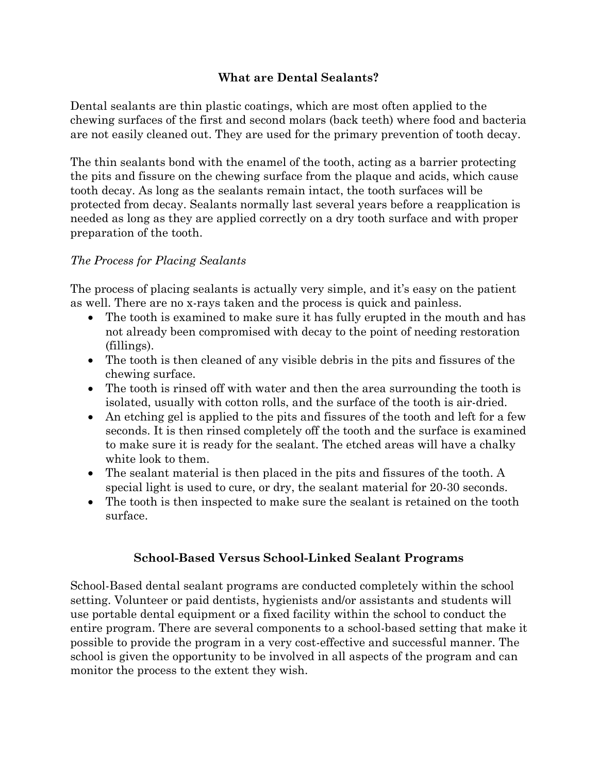#### **What are Dental Sealants?**

Dental sealants are thin plastic coatings, which are most often applied to the chewing surfaces of the first and second molars (back teeth) where food and bacteria are not easily cleaned out. They are used for the primary prevention of tooth decay.

The thin sealants bond with the enamel of the tooth, acting as a barrier protecting the pits and fissure on the chewing surface from the plaque and acids, which cause tooth decay. As long as the sealants remain intact, the tooth surfaces will be protected from decay. Sealants normally last several years before a reapplication is needed as long as they are applied correctly on a dry tooth surface and with proper preparation of the tooth.

#### *The Process for Placing Sealants*

The process of placing sealants is actually very simple, and it's easy on the patient as well. There are no x-rays taken and the process is quick and painless.

- The tooth is examined to make sure it has fully erupted in the mouth and has not already been compromised with decay to the point of needing restoration (fillings).
- The tooth is then cleaned of any visible debris in the pits and fissures of the chewing surface.
- The tooth is rinsed off with water and then the area surrounding the tooth is isolated, usually with cotton rolls, and the surface of the tooth is air-dried.
- An etching gel is applied to the pits and fissures of the tooth and left for a few seconds. It is then rinsed completely off the tooth and the surface is examined to make sure it is ready for the sealant. The etched areas will have a chalky white look to them.
- The sealant material is then placed in the pits and fissures of the tooth. A special light is used to cure, or dry, the sealant material for 20-30 seconds.
- The tooth is then inspected to make sure the sealant is retained on the tooth surface.

#### **School-Based Versus School-Linked Sealant Programs**

School-Based dental sealant programs are conducted completely within the school setting. Volunteer or paid dentists, hygienists and/or assistants and students will use portable dental equipment or a fixed facility within the school to conduct the entire program. There are several components to a school-based setting that make it possible to provide the program in a very cost-effective and successful manner. The school is given the opportunity to be involved in all aspects of the program and can monitor the process to the extent they wish.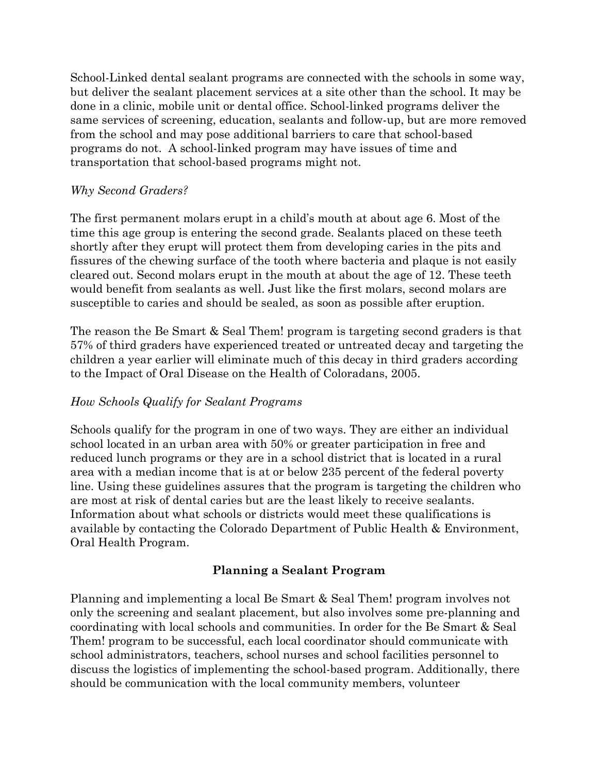School-Linked dental sealant programs are connected with the schools in some way, but deliver the sealant placement services at a site other than the school. It may be done in a clinic, mobile unit or dental office. School-linked programs deliver the same services of screening, education, sealants and follow-up, but are more removed from the school and may pose additional barriers to care that school-based programs do not. A school-linked program may have issues of time and transportation that school-based programs might not.

#### *Why Second Graders?*

The first permanent molars erupt in a child's mouth at about age 6. Most of the time this age group is entering the second grade. Sealants placed on these teeth shortly after they erupt will protect them from developing caries in the pits and fissures of the chewing surface of the tooth where bacteria and plaque is not easily cleared out. Second molars erupt in the mouth at about the age of 12. These teeth would benefit from sealants as well. Just like the first molars, second molars are susceptible to caries and should be sealed, as soon as possible after eruption.

The reason the Be Smart & Seal Them! program is targeting second graders is that 57% of third graders have experienced treated or untreated decay and targeting the children a year earlier will eliminate much of this decay in third graders according to the Impact of Oral Disease on the Health of Coloradans, 2005.

#### *How Schools Qualify for Sealant Programs*

Schools qualify for the program in one of two ways. They are either an individual school located in an urban area with 50% or greater participation in free and reduced lunch programs or they are in a school district that is located in a rural area with a median income that is at or below 235 percent of the federal poverty line. Using these guidelines assures that the program is targeting the children who are most at risk of dental caries but are the least likely to receive sealants. Information about what schools or districts would meet these qualifications is available by contacting the Colorado Department of Public Health & Environment, Oral Health Program.

#### **Planning a Sealant Program**

Planning and implementing a local Be Smart & Seal Them! program involves not only the screening and sealant placement, but also involves some pre-planning and coordinating with local schools and communities. In order for the Be Smart & Seal Them! program to be successful, each local coordinator should communicate with school administrators, teachers, school nurses and school facilities personnel to discuss the logistics of implementing the school-based program. Additionally, there should be communication with the local community members, volunteer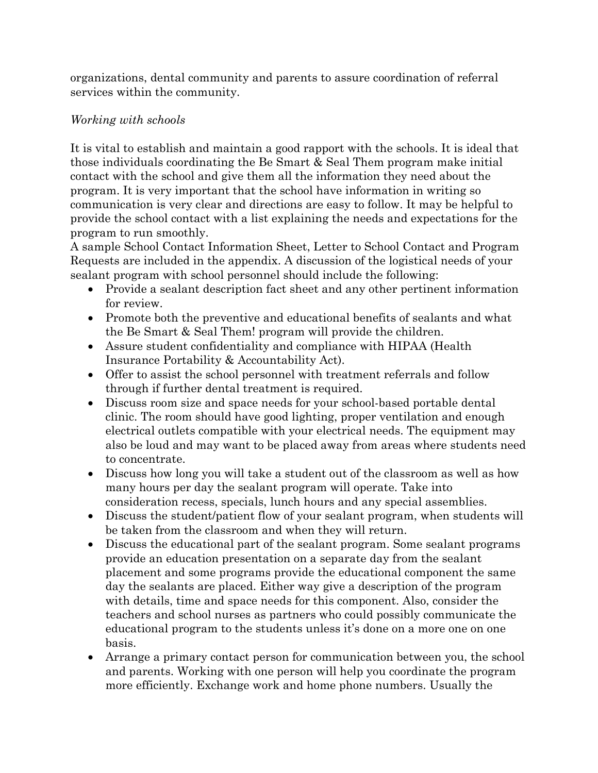organizations, dental community and parents to assure coordination of referral services within the community.

#### *Working with schools*

It is vital to establish and maintain a good rapport with the schools. It is ideal that those individuals coordinating the Be Smart & Seal Them program make initial contact with the school and give them all the information they need about the program. It is very important that the school have information in writing so communication is very clear and directions are easy to follow. It may be helpful to provide the school contact with a list explaining the needs and expectations for the program to run smoothly.

A sample School Contact Information Sheet, Letter to School Contact and Program Requests are included in the appendix. A discussion of the logistical needs of your sealant program with school personnel should include the following:

- Provide a sealant description fact sheet and any other pertinent information for review.
- Promote both the preventive and educational benefits of sealants and what the Be Smart & Seal Them! program will provide the children.
- Assure student confidentiality and compliance with HIPAA (Health Insurance Portability & Accountability Act).
- Offer to assist the school personnel with treatment referrals and follow through if further dental treatment is required.
- Discuss room size and space needs for your school-based portable dental clinic. The room should have good lighting, proper ventilation and enough electrical outlets compatible with your electrical needs. The equipment may also be loud and may want to be placed away from areas where students need to concentrate.
- Discuss how long you will take a student out of the classroom as well as how many hours per day the sealant program will operate. Take into consideration recess, specials, lunch hours and any special assemblies.
- Discuss the student/patient flow of your sealant program, when students will be taken from the classroom and when they will return.
- Discuss the educational part of the sealant program. Some sealant programs provide an education presentation on a separate day from the sealant placement and some programs provide the educational component the same day the sealants are placed. Either way give a description of the program with details, time and space needs for this component. Also, consider the teachers and school nurses as partners who could possibly communicate the educational program to the students unless it's done on a more one on one basis.
- Arrange a primary contact person for communication between you, the school and parents. Working with one person will help you coordinate the program more efficiently. Exchange work and home phone numbers. Usually the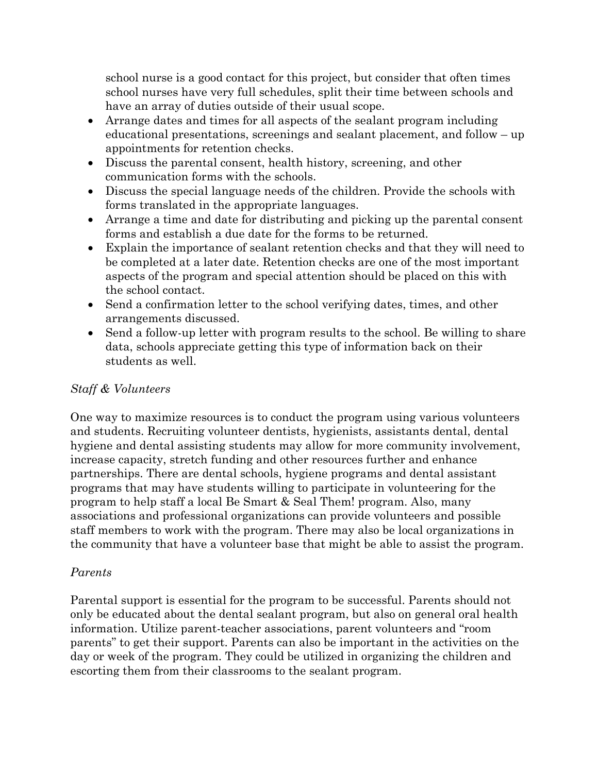school nurse is a good contact for this project, but consider that often times school nurses have very full schedules, split their time between schools and have an array of duties outside of their usual scope.

- Arrange dates and times for all aspects of the sealant program including educational presentations, screenings and sealant placement, and follow – up appointments for retention checks.
- Discuss the parental consent, health history, screening, and other communication forms with the schools.
- Discuss the special language needs of the children. Provide the schools with forms translated in the appropriate languages.
- Arrange a time and date for distributing and picking up the parental consent forms and establish a due date for the forms to be returned.
- Explain the importance of sealant retention checks and that they will need to be completed at a later date. Retention checks are one of the most important aspects of the program and special attention should be placed on this with the school contact.
- Send a confirmation letter to the school verifying dates, times, and other arrangements discussed.
- Send a follow-up letter with program results to the school. Be willing to share data, schools appreciate getting this type of information back on their students as well.

#### *Staff & Volunteers*

One way to maximize resources is to conduct the program using various volunteers and students. Recruiting volunteer dentists, hygienists, assistants dental, dental hygiene and dental assisting students may allow for more community involvement, increase capacity, stretch funding and other resources further and enhance partnerships. There are dental schools, hygiene programs and dental assistant programs that may have students willing to participate in volunteering for the program to help staff a local Be Smart & Seal Them! program. Also, many associations and professional organizations can provide volunteers and possible staff members to work with the program. There may also be local organizations in the community that have a volunteer base that might be able to assist the program.

#### *Parents*

Parental support is essential for the program to be successful. Parents should not only be educated about the dental sealant program, but also on general oral health information. Utilize parent-teacher associations, parent volunteers and "room parents" to get their support. Parents can also be important in the activities on the day or week of the program. They could be utilized in organizing the children and escorting them from their classrooms to the sealant program.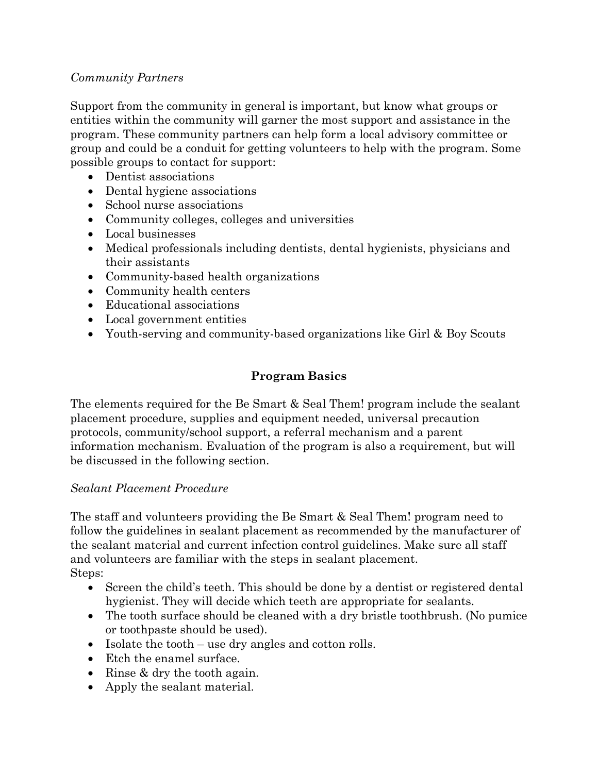#### *Community Partners*

Support from the community in general is important, but know what groups or entities within the community will garner the most support and assistance in the program. These community partners can help form a local advisory committee or group and could be a conduit for getting volunteers to help with the program. Some possible groups to contact for support:

- Dentist associations
- Dental hygiene associations
- School nurse associations
- Community colleges, colleges and universities
- Local businesses
- Medical professionals including dentists, dental hygienists, physicians and their assistants
- Community-based health organizations
- Community health centers
- Educational associations
- Local government entities
- Youth-serving and community-based organizations like Girl & Boy Scouts

#### **Program Basics**

The elements required for the Be Smart & Seal Them! program include the sealant placement procedure, supplies and equipment needed, universal precaution protocols, community/school support, a referral mechanism and a parent information mechanism. Evaluation of the program is also a requirement, but will be discussed in the following section.

#### *Sealant Placement Procedure*

The staff and volunteers providing the Be Smart & Seal Them! program need to follow the guidelines in sealant placement as recommended by the manufacturer of the sealant material and current infection control guidelines. Make sure all staff and volunteers are familiar with the steps in sealant placement. Steps:

- Screen the child's teeth. This should be done by a dentist or registered dental hygienist. They will decide which teeth are appropriate for sealants.
- The tooth surface should be cleaned with a dry bristle toothbrush. (No pumice or toothpaste should be used).
- Isolate the tooth use dry angles and cotton rolls.
- Etch the enamel surface.
- Rinse & dry the tooth again.
- Apply the sealant material.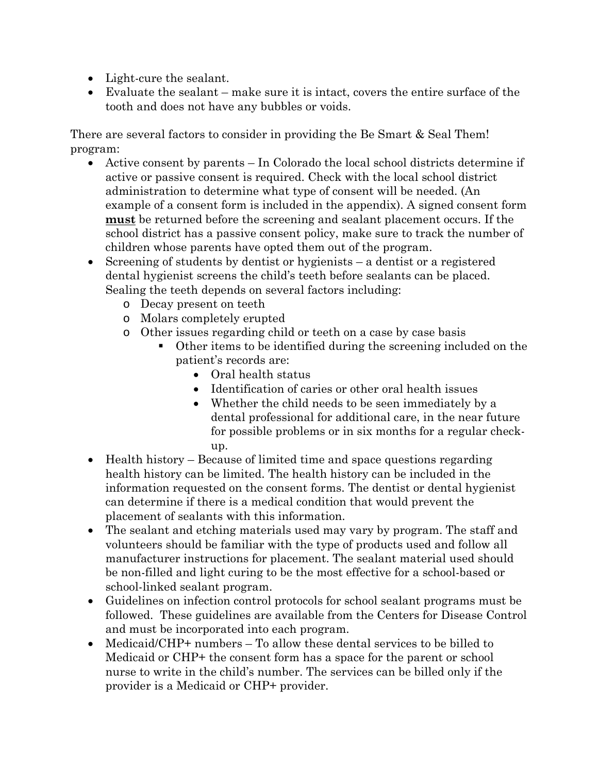- Light-cure the sealant.
- Evaluate the sealant make sure it is intact, covers the entire surface of the tooth and does not have any bubbles or voids.

There are several factors to consider in providing the Be Smart & Seal Them! program:

- Active consent by parents In Colorado the local school districts determine if active or passive consent is required. Check with the local school district administration to determine what type of consent will be needed. (An example of a consent form is included in the appendix). A signed consent form **must** be returned before the screening and sealant placement occurs. If the school district has a passive consent policy, make sure to track the number of children whose parents have opted them out of the program.
- Screening of students by dentist or hygienists a dentist or a registered dental hygienist screens the child's teeth before sealants can be placed. Sealing the teeth depends on several factors including:
	- o Decay present on teeth
	- o Molars completely erupted
	- o Other issues regarding child or teeth on a case by case basis
		- Other items to be identified during the screening included on the patient's records are:
			- Oral health status
			- Identification of caries or other oral health issues
			- Whether the child needs to be seen immediately by a dental professional for additional care, in the near future for possible problems or in six months for a regular checkup.
- Health history Because of limited time and space questions regarding health history can be limited. The health history can be included in the information requested on the consent forms. The dentist or dental hygienist can determine if there is a medical condition that would prevent the placement of sealants with this information.
- The sealant and etching materials used may vary by program. The staff and volunteers should be familiar with the type of products used and follow all manufacturer instructions for placement. The sealant material used should be non-filled and light curing to be the most effective for a school-based or school-linked sealant program.
- Guidelines on infection control protocols for school sealant programs must be followed. These guidelines are available from the Centers for Disease Control and must be incorporated into each program.
- Medicaid/CHP+ numbers To allow these dental services to be billed to Medicaid or CHP+ the consent form has a space for the parent or school nurse to write in the child's number. The services can be billed only if the provider is a Medicaid or CHP+ provider.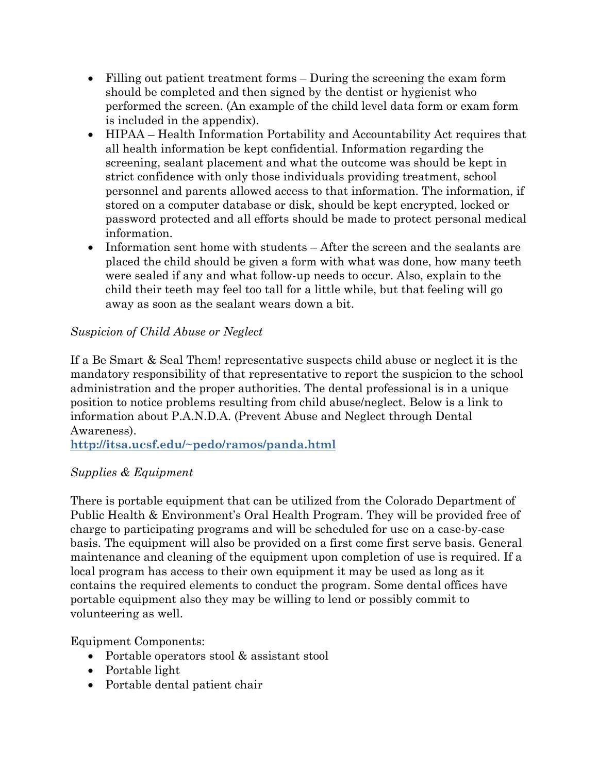- Filling out patient treatment forms During the screening the exam form should be completed and then signed by the dentist or hygienist who performed the screen. (An example of the child level data form or exam form is included in the appendix).
- HIPAA Health Information Portability and Accountability Act requires that all health information be kept confidential. Information regarding the screening, sealant placement and what the outcome was should be kept in strict confidence with only those individuals providing treatment, school personnel and parents allowed access to that information. The information, if stored on a computer database or disk, should be kept encrypted, locked or password protected and all efforts should be made to protect personal medical information.
- Information sent home with students After the screen and the sealants are placed the child should be given a form with what was done, how many teeth were sealed if any and what follow-up needs to occur. Also, explain to the child their teeth may feel too tall for a little while, but that feeling will go away as soon as the sealant wears down a bit.

#### *Suspicion of Child Abuse or Neglect*

If a Be Smart & Seal Them! representative suspects child abuse or neglect it is the mandatory responsibility of that representative to report the suspicion to the school administration and the proper authorities. The dental professional is in a unique position to notice problems resulting from child abuse/neglect. Below is a link to information about P.A.N.D.A. (Prevent Abuse and Neglect through Dental Awareness).

**[http://itsa.ucsf.edu/~pedo/ramos/panda.html](http://itsa.ucsf.edu/%7Epedo/ramos/panda.html)**

#### *Supplies & Equipment*

There is portable equipment that can be utilized from the Colorado Department of Public Health & Environment's Oral Health Program. They will be provided free of charge to participating programs and will be scheduled for use on a case-by-case basis. The equipment will also be provided on a first come first serve basis. General maintenance and cleaning of the equipment upon completion of use is required. If a local program has access to their own equipment it may be used as long as it contains the required elements to conduct the program. Some dental offices have portable equipment also they may be willing to lend or possibly commit to volunteering as well.

Equipment Components:

- Portable operators stool & assistant stool
- Portable light
- Portable dental patient chair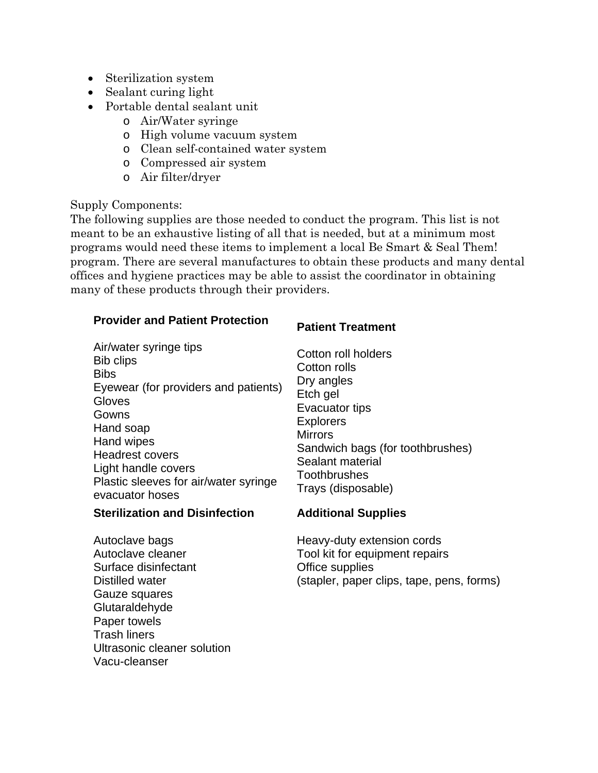- Sterilization system
- Sealant curing light
- Portable dental sealant unit
	- o Air/Water syringe
	- o High volume vacuum system
	- o Clean self-contained water system
	- o Compressed air system
	- o Air filter/dryer

#### Supply Components:

The following supplies are those needed to conduct the program. This list is not meant to be an exhaustive listing of all that is needed, but at a minimum most programs would need these items to implement a local Be Smart & Seal Them! program. There are several manufactures to obtain these products and many dental offices and hygiene practices may be able to assist the coordinator in obtaining many of these products through their providers.

#### **Provider and Patient Protection**

| Air/water syringe tips<br><b>Bib clips</b><br><b>Bibs</b><br>Eyewear (for providers and patients)<br>Gloves<br>Gowns<br>Hand soap<br>Hand wipes<br><b>Headrest covers</b><br>Light handle covers<br>Plastic sleeves for air/water syringe<br>evacuator hoses | Cotton roll holders<br>Cotton rolls<br>Dry angles<br>Etch gel<br>Evacuator tips<br><b>Explorers</b><br><b>Mirrors</b><br>Sandwich bags (for toothbrushes)<br>Sealant material<br>Toothbrushes<br>Trays (disposable) |
|--------------------------------------------------------------------------------------------------------------------------------------------------------------------------------------------------------------------------------------------------------------|---------------------------------------------------------------------------------------------------------------------------------------------------------------------------------------------------------------------|
|--------------------------------------------------------------------------------------------------------------------------------------------------------------------------------------------------------------------------------------------------------------|---------------------------------------------------------------------------------------------------------------------------------------------------------------------------------------------------------------------|

#### **Sterilization and Disinfection**

Autoclave bags Autoclave cleaner Surface disinfectant Distilled water Gauze squares **Glutaraldehyde** Paper towels Trash liners Ultrasonic cleaner solution Vacu-cleanser

#### **Additional Supplies**

**Patient Treatment**

Heavy-duty extension cords Tool kit for equipment repairs Office supplies (stapler, paper clips, tape, pens, forms)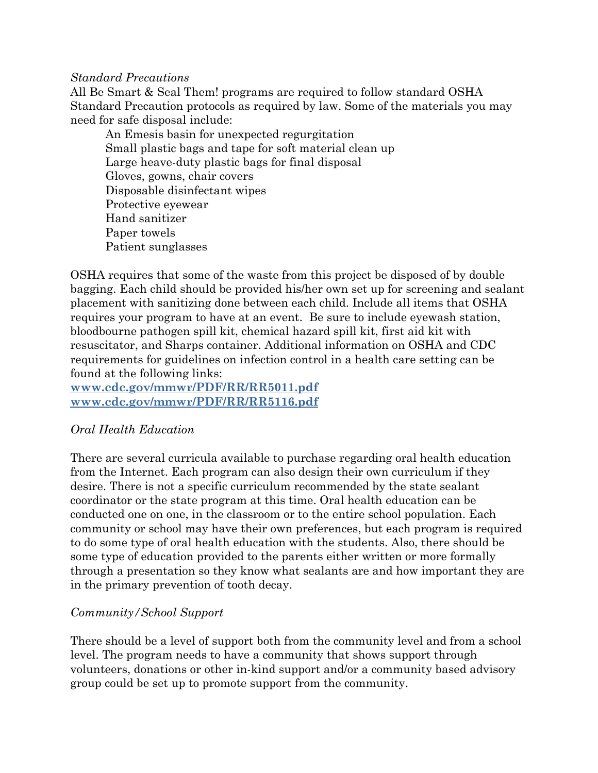#### *Standard Precautions*

All Be Smart & Seal Them! programs are required to follow standard OSHA Standard Precaution protocols as required by law. Some of the materials you may need for safe disposal include:

 An Emesis basin for unexpected regurgitation Small plastic bags and tape for soft material clean up Large heave-duty plastic bags for final disposal Gloves, gowns, chair covers Disposable disinfectant wipes Protective eyewear Hand sanitizer Paper towels Patient sunglasses

OSHA requires that some of the waste from this project be disposed of by double bagging. Each child should be provided his/her own set up for screening and sealant placement with sanitizing done between each child. Include all items that OSHA requires your program to have at an event. Be sure to include eyewash station, bloodbourne pathogen spill kit, chemical hazard spill kit, first aid kit with resuscitator, and Sharps container. Additional information on OSHA and CDC requirements for guidelines on infection control in a health care setting can be found at the following links:

**[www.cdc.gov/mmwr/PDF/RR/RR5011.pdf](http://www.cdc.gov/mmwr/PDF/RR/RR5011.pdf) [www.cdc.gov/mmwr/PDF/RR/RR5116.pdf](http://www.cdc.gov/mmwr/PDF/RR/RR5116.pdf)**

#### *Oral Health Education*

There are several curricula available to purchase regarding oral health education from the Internet. Each program can also design their own curriculum if they desire. There is not a specific curriculum recommended by the state sealant coordinator or the state program at this time. Oral health education can be conducted one on one, in the classroom or to the entire school population. Each community or school may have their own preferences, but each program is required to do some type of oral health education with the students. Also, there should be some type of education provided to the parents either written or more formally through a presentation so they know what sealants are and how important they are in the primary prevention of tooth decay.

#### *Community/School Support*

There should be a level of support both from the community level and from a school level. The program needs to have a community that shows support through volunteers, donations or other in-kind support and/or a community based advisory group could be set up to promote support from the community.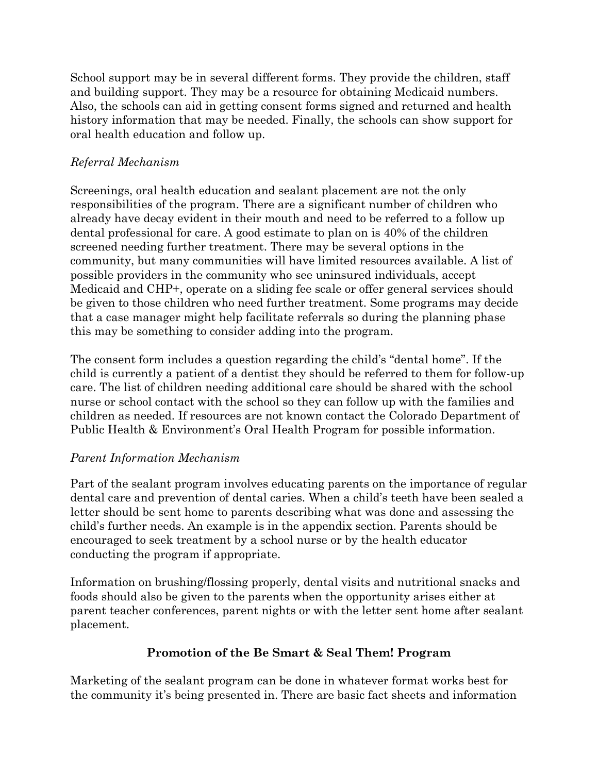School support may be in several different forms. They provide the children, staff and building support. They may be a resource for obtaining Medicaid numbers. Also, the schools can aid in getting consent forms signed and returned and health history information that may be needed. Finally, the schools can show support for oral health education and follow up.

#### *Referral Mechanism*

Screenings, oral health education and sealant placement are not the only responsibilities of the program. There are a significant number of children who already have decay evident in their mouth and need to be referred to a follow up dental professional for care. A good estimate to plan on is 40% of the children screened needing further treatment. There may be several options in the community, but many communities will have limited resources available. A list of possible providers in the community who see uninsured individuals, accept Medicaid and CHP+, operate on a sliding fee scale or offer general services should be given to those children who need further treatment. Some programs may decide that a case manager might help facilitate referrals so during the planning phase this may be something to consider adding into the program.

The consent form includes a question regarding the child's "dental home". If the child is currently a patient of a dentist they should be referred to them for follow-up care. The list of children needing additional care should be shared with the school nurse or school contact with the school so they can follow up with the families and children as needed. If resources are not known contact the Colorado Department of Public Health & Environment's Oral Health Program for possible information.

#### *Parent Information Mechanism*

Part of the sealant program involves educating parents on the importance of regular dental care and prevention of dental caries. When a child's teeth have been sealed a letter should be sent home to parents describing what was done and assessing the child's further needs. An example is in the appendix section. Parents should be encouraged to seek treatment by a school nurse or by the health educator conducting the program if appropriate.

Information on brushing/flossing properly, dental visits and nutritional snacks and foods should also be given to the parents when the opportunity arises either at parent teacher conferences, parent nights or with the letter sent home after sealant placement.

#### **Promotion of the Be Smart & Seal Them! Program**

Marketing of the sealant program can be done in whatever format works best for the community it's being presented in. There are basic fact sheets and information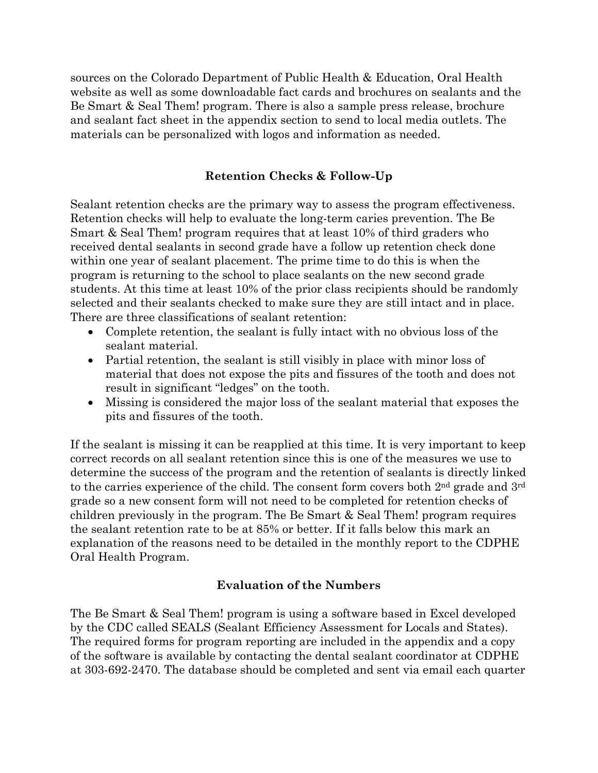sources on the Colorado Department of Public Health & Education, Oral Health website as well as some downloadable fact cards and brochures on sealants and the Be Smart & Seal Them! program. There is also a sample press release, brochure and sealant fact sheet in the appendix section to send to local media outlets. The materials can be personalized with logos and information as needed.

#### **Retention Checks & Follow-Up**

Sealant retention checks are the primary way to assess the program effectiveness. Retention checks will help to evaluate the long-term caries prevention. The Be Smart & Seal Them! program requires that at least 10% of third graders who received dental sealants in second grade have a follow up retention check done within one year of sealant placement. The prime time to do this is when the program is returning to the school to place sealants on the new second grade students. At this time at least 10% of the prior class recipients should be randomly selected and their sealants checked to make sure they are still intact and in place. There are three classifications of sealant retention:

- Complete retention, the sealant is fully intact with no obvious loss of the sealant material.
- Partial retention, the sealant is still visibly in place with minor loss of material that does not expose the pits and fissures of the tooth and does not result in significant "ledges" on the tooth.
- Missing is considered the major loss of the sealant material that exposes the pits and fissures of the tooth.

If the sealant is missing it can be reapplied at this time. It is very important to keep correct records on all sealant retention since this is one of the measures we use to determine the success of the program and the retention of sealants is directly linked to the carries experience of the child. The consent form covers both  $2<sup>nd</sup>$  grade and  $3<sup>rd</sup>$ grade so a new consent form will not need to be completed for retention checks of children previously in the program. The Be Smart & Seal Them! program requires the sealant retention rate to be at 85% or better. If it falls below this mark an explanation of the reasons need to be detailed in the monthly report to the CDPHE Oral Health Program.

#### **Evaluation of the Numbers**

The Be Smart & Seal Them! program is using a software based in Excel developed by the CDC called SEALS (Sealant Efficiency Assessment for Locals and States). The required forms for program reporting are included in the appendix and a copy of the software is available by contacting the dental sealant coordinator at CDPHE at 303-692-2470. The database should be completed and sent via email each quarter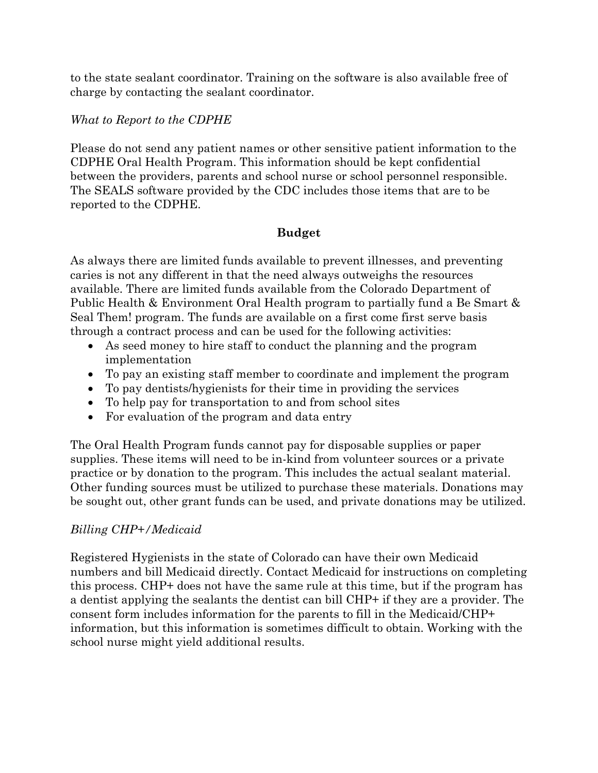to the state sealant coordinator. Training on the software is also available free of charge by contacting the sealant coordinator.

#### *What to Report to the CDPHE*

Please do not send any patient names or other sensitive patient information to the CDPHE Oral Health Program. This information should be kept confidential between the providers, parents and school nurse or school personnel responsible. The SEALS software provided by the CDC includes those items that are to be reported to the CDPHE.

#### **Budget**

As always there are limited funds available to prevent illnesses, and preventing caries is not any different in that the need always outweighs the resources available. There are limited funds available from the Colorado Department of Public Health & Environment Oral Health program to partially fund a Be Smart & Seal Them! program. The funds are available on a first come first serve basis through a contract process and can be used for the following activities:

- As seed money to hire staff to conduct the planning and the program implementation
- To pay an existing staff member to coordinate and implement the program
- To pay dentists/hygienists for their time in providing the services
- To help pay for transportation to and from school sites
- For evaluation of the program and data entry

The Oral Health Program funds cannot pay for disposable supplies or paper supplies. These items will need to be in-kind from volunteer sources or a private practice or by donation to the program. This includes the actual sealant material. Other funding sources must be utilized to purchase these materials. Donations may be sought out, other grant funds can be used, and private donations may be utilized.

#### *Billing CHP+/Medicaid*

Registered Hygienists in the state of Colorado can have their own Medicaid numbers and bill Medicaid directly. Contact Medicaid for instructions on completing this process. CHP+ does not have the same rule at this time, but if the program has a dentist applying the sealants the dentist can bill CHP+ if they are a provider. The consent form includes information for the parents to fill in the Medicaid/CHP+ information, but this information is sometimes difficult to obtain. Working with the school nurse might yield additional results.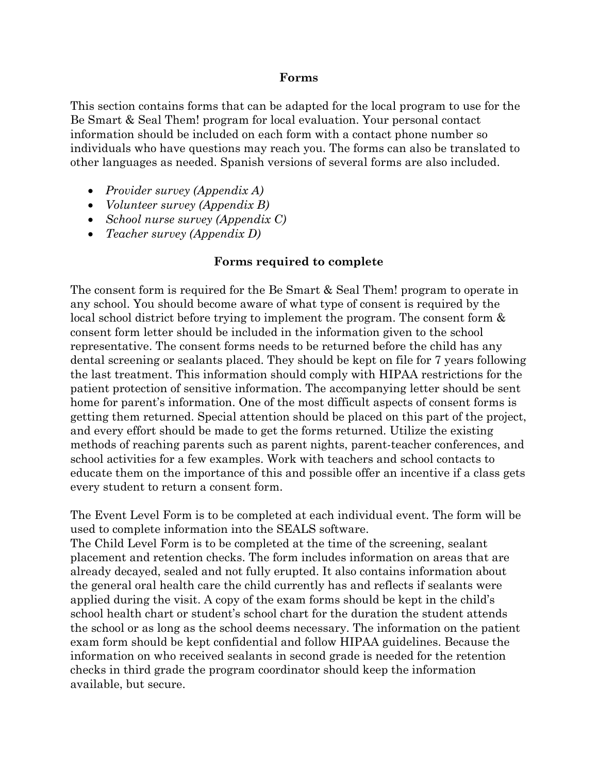#### **Forms**

This section contains forms that can be adapted for the local program to use for the Be Smart & Seal Them! program for local evaluation. Your personal contact information should be included on each form with a contact phone number so individuals who have questions may reach you. The forms can also be translated to other languages as needed. Spanish versions of several forms are also included.

- *Provider survey (Appendix A)*
- *Volunteer survey (Appendix B)*
- *School nurse survey (Appendix C)*
- *Teacher survey (Appendix D)*

#### **Forms required to complete**

The consent form is required for the Be Smart & Seal Them! program to operate in any school. You should become aware of what type of consent is required by the local school district before trying to implement the program. The consent form & consent form letter should be included in the information given to the school representative. The consent forms needs to be returned before the child has any dental screening or sealants placed. They should be kept on file for 7 years following the last treatment. This information should comply with HIPAA restrictions for the patient protection of sensitive information. The accompanying letter should be sent home for parent's information. One of the most difficult aspects of consent forms is getting them returned. Special attention should be placed on this part of the project, and every effort should be made to get the forms returned. Utilize the existing methods of reaching parents such as parent nights, parent-teacher conferences, and school activities for a few examples. Work with teachers and school contacts to educate them on the importance of this and possible offer an incentive if a class gets every student to return a consent form.

The Event Level Form is to be completed at each individual event. The form will be used to complete information into the SEALS software.

The Child Level Form is to be completed at the time of the screening, sealant placement and retention checks. The form includes information on areas that are already decayed, sealed and not fully erupted. It also contains information about the general oral health care the child currently has and reflects if sealants were applied during the visit. A copy of the exam forms should be kept in the child's school health chart or student's school chart for the duration the student attends the school or as long as the school deems necessary. The information on the patient exam form should be kept confidential and follow HIPAA guidelines. Because the information on who received sealants in second grade is needed for the retention checks in third grade the program coordinator should keep the information available, but secure.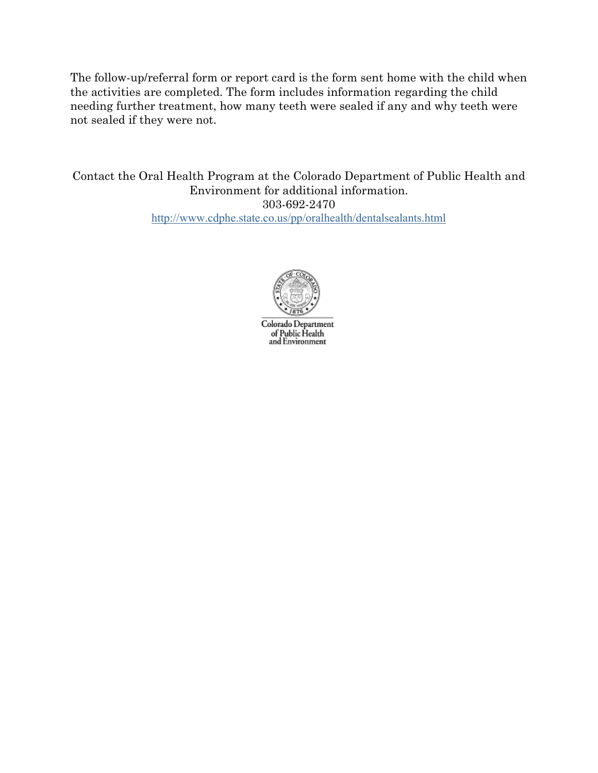The follow-up/referral form or report card is the form sent home with the child when the activities are completed. The form includes information regarding the child needing further treatment, how many teeth were sealed if any and why teeth were not sealed if they were not.

Contact the Oral Health Program at the Colorado Department of Public Health and Environment for additional information. 303-692-2470 <http://www.cdphe.state.co.us/pp/oralhealth/dentalsealants.html>



Colorado Department of Public Health<br>and Environment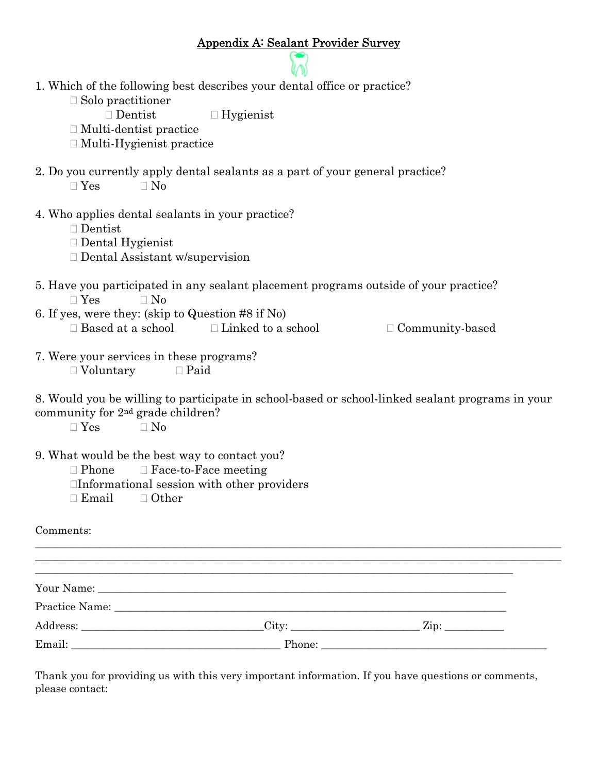#### Appendix A: Sealant Provider Survey GO

| 1. Which of the following best describes your dental office or practice?                                                                          |
|---------------------------------------------------------------------------------------------------------------------------------------------------|
| $\Box$ Solo practitioner                                                                                                                          |
| $\Box$ Dentist<br>$\Box$ Hygienist                                                                                                                |
| $\Box$ Multi-dentist practice                                                                                                                     |
| $\Box$ Multi-Hygienist practice                                                                                                                   |
| 2. Do you currently apply dental sealants as a part of your general practice?<br>$\Box$ Yes<br>$\Box$ No                                          |
| 4. Who applies dental sealants in your practice?<br>$\Box$ Dentist<br>$\Box$ Dental Hygienist<br>$\Box$ Dental Assistant w/supervision            |
| 5. Have you participated in any sealant placement programs outside of your practice?<br>$\Box$ Yes<br>$\Box$ No                                   |
| 6. If yes, were they: (skip to Question #8 if No)                                                                                                 |
| $\Box$ Based at a school<br>$\Box$ Linked to a school<br>$\Box$ Community-based                                                                   |
| 7. Were your services in these programs?<br>$\Box$ Paid<br>$\Box$ Voluntary                                                                       |
| 8. Would you be willing to participate in school-based or school-linked sealant programs in your<br>community for 2 <sup>nd</sup> grade children? |

 $\Box$  Yes  $\Box$  No

9. What would be the best way to contact you?

 $\Box$  Phone  $\Box$  Face-to-Face meeting

Informational session with other providers

 $\Box$  Email  $\Box$  Other

Comments:

|        | Practice Name: 2008 and 2008 and 2008 and 2008 and 2008 and 2008 and 2008 and 2008 and 2008 and 2008 and 2008 and 2008 and 2008 and 2008 and 2008 and 2008 and 2008 and 2008 and 2008 and 2008 and 2008 and 2008 and 2008 and |  |
|--------|-------------------------------------------------------------------------------------------------------------------------------------------------------------------------------------------------------------------------------|--|
|        | $\text{City:}$                                                                                                                                                                                                                |  |
| Email: |                                                                                                                                                                                                                               |  |

 $\_$  , and the set of the set of the set of the set of the set of the set of the set of the set of the set of the set of the set of the set of the set of the set of the set of the set of the set of the set of the set of th

Thank you for providing us with this very important information. If you have questions or comments, please contact: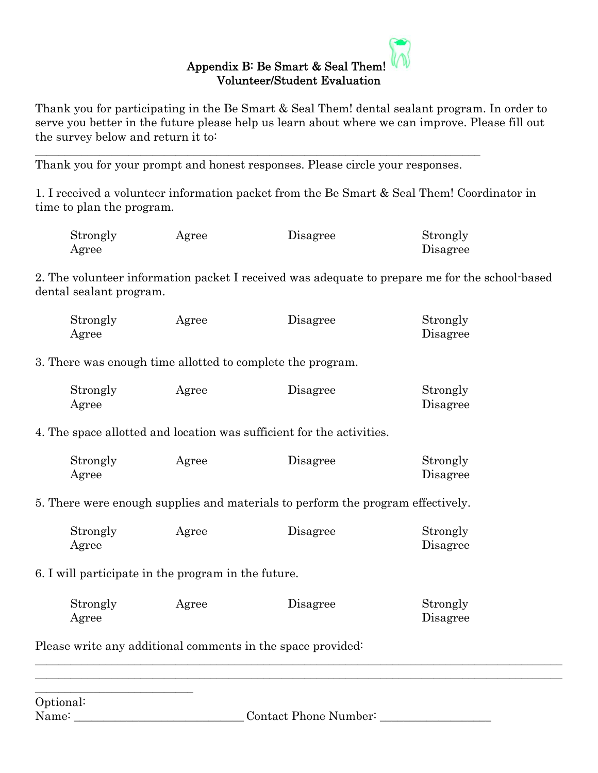#### Appendix B: Be Smart & Seal Them! Volunteer/Student Evaluation

Thank you for participating in the Be Smart & Seal Them! dental sealant program. In order to serve you better in the future please help us learn about where we can improve. Please fill out the survey below and return it to:

Thank you for your prompt and honest responses. Please circle your responses.

\_\_\_\_\_\_\_\_\_\_\_\_\_\_\_\_\_\_\_\_\_\_\_\_\_\_\_\_\_\_\_\_\_\_\_\_\_\_\_\_\_\_\_\_\_\_\_\_\_\_\_\_\_\_\_\_\_\_\_\_\_\_\_\_\_\_\_\_\_\_\_\_\_\_\_\_

1. I received a volunteer information packet from the Be Smart & Seal Them! Coordinator in time to plan the program.

| Strongly | Agree | Disagree | Strongly |
|----------|-------|----------|----------|
| Agree    |       |          | Disagree |

2. The volunteer information packet I received was adequate to prepare me for the school-based dental sealant program.

| Strongly | Agree | Disagree | Strongly |
|----------|-------|----------|----------|
| Agree    |       |          | Disagree |

3. There was enough time allotted to complete the program.

| Strongly | Agree | Disagree | Strongly |
|----------|-------|----------|----------|
| Agree    |       |          | Disagree |

4. The space allotted and location was sufficient for the activities.

| Strongly | Agree | Disagree | Strongly |
|----------|-------|----------|----------|
| Agree    |       |          | Disagree |

5. There were enough supplies and materials to perform the program effectively.

| Strongly | Agree | Disagree | Strongly |
|----------|-------|----------|----------|
| Agree    |       |          | Disagree |

6. I will participate in the program in the future.

| Strongly | Agree | Disagree | Strongly |
|----------|-------|----------|----------|
| Agree    |       |          | Disagree |

 $\_$  , and the set of the set of the set of the set of the set of the set of the set of the set of the set of the set of the set of the set of the set of the set of the set of the set of the set of the set of the set of th  $\_$  , and the set of the set of the set of the set of the set of the set of the set of the set of the set of the set of the set of the set of the set of the set of the set of the set of the set of the set of the set of th

Please write any additional comments in the space provided:

| Optional: |                       |
|-----------|-----------------------|
| Name:     | Contact Phone Number: |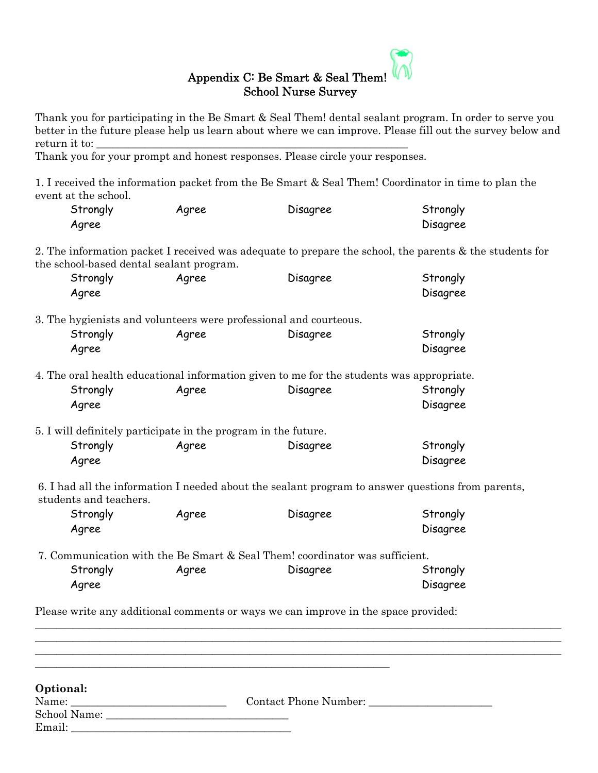#### Appendix C: Be Smart & Seal Them! School Nurse Survey

Thank you for participating in the Be Smart & Seal Them! dental sealant program. In order to serve you better in the future please help us learn about where we can improve. Please fill out the survey below and return it to:

Thank you for your prompt and honest responses. Please circle your responses.

1. I received the information packet from the Be Smart & Seal Them! Coordinator in time to plan the event at the school.

| Strongly | Agree | Disagree | Strongly |
|----------|-------|----------|----------|
| Agree    |       |          | Disagree |

2. The information packet I received was adequate to prepare the school, the parents & the students for the school-based dental sealant program.

| Strongly<br>Agree | Agree                                                             | Disagree                                                                                             | Strongly<br>Disagree |
|-------------------|-------------------------------------------------------------------|------------------------------------------------------------------------------------------------------|----------------------|
|                   | 3. The hygienists and volunteers were professional and courteous. |                                                                                                      |                      |
| Strongly          | Agree                                                             | Disagree                                                                                             | Strongly             |
| Agree             |                                                                   |                                                                                                      | Disagree             |
| Strongly<br>Agree | Agree                                                             | 4. The oral health educational information given to me for the students was appropriate.<br>Disagree | Strongly<br>Disagree |
|                   | 5. I will definitely participate in the program in the future.    |                                                                                                      |                      |
| Strongly          | Agree                                                             | Disagree                                                                                             | Strongly             |
| Agree             |                                                                   |                                                                                                      | Disagree             |

6. I had all the information I needed about the sealant program to answer questions from parents, students and teachers.

| Strongly | Agree | Disagree | Strongly |
|----------|-------|----------|----------|
| Agree    |       |          | Disagree |

7. Communication with the Be Smart & Seal Them! coordinator was sufficient. Strongly **Agree Disagree Constrangly** Strongly Agree Disagree

Please write any additional comments or ways we can improve in the space provided:

**\_\_\_\_\_\_\_\_\_\_\_\_\_\_\_\_\_\_\_\_\_\_\_\_\_\_\_\_\_\_\_\_\_\_\_\_\_\_\_\_\_\_\_\_\_\_\_\_\_\_\_\_\_\_\_\_\_\_\_\_\_\_\_\_\_\_** 

| Optional:    |                       |  |
|--------------|-----------------------|--|
| Name:        | Contact Phone Number: |  |
| School Name: |                       |  |
| Email:       |                       |  |

**\_\_\_\_\_\_\_\_\_\_\_\_\_\_\_\_\_\_\_\_\_\_\_\_\_\_\_\_\_\_\_\_\_\_\_\_\_\_\_\_\_\_\_\_\_\_\_\_\_\_\_\_\_\_\_\_\_\_\_\_\_\_\_\_\_\_\_\_\_\_\_\_\_\_\_\_\_\_\_\_\_\_\_\_\_\_\_\_\_\_\_\_\_\_\_\_\_\_**

**\_\_\_\_\_\_\_\_\_\_\_\_\_\_\_\_\_\_\_\_\_\_\_\_\_\_\_\_\_\_\_\_\_\_\_\_\_\_\_\_\_\_\_\_\_\_\_\_\_\_\_\_\_\_\_\_\_\_\_\_\_\_\_\_\_\_\_\_\_\_\_\_\_\_\_\_\_\_\_\_\_\_\_\_\_\_\_\_\_\_\_\_\_\_\_\_\_\_**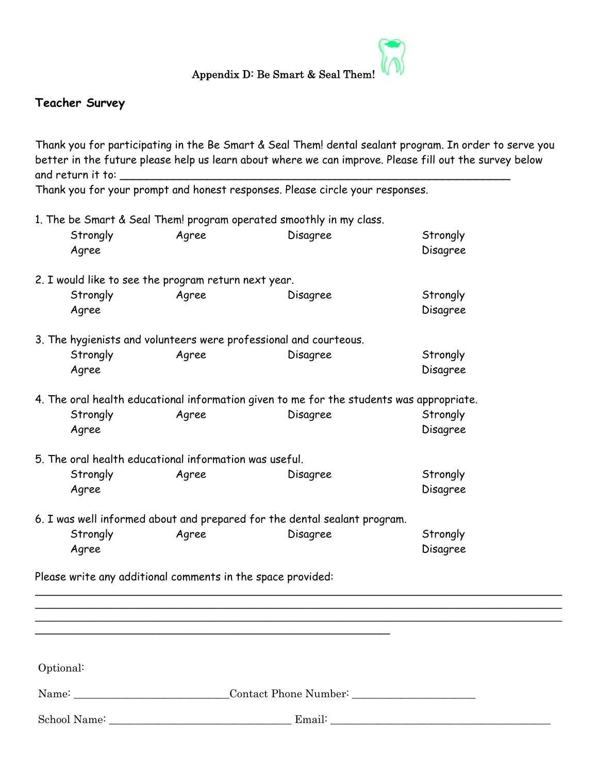

#### **Teacher Survey**

Thank you for participating in the Be Smart & Seal Them! dental sealant program. In order to serve you better in the future please help us learn about where we can improve. Please fill out the survey below and return it to:

Thank you for your prompt and honest responses. Please circle your responses.

1. The be Smart & Seal Them! program operated smoothly in my class. Strongly Agree Disagree Strongly Agree Disagree Disagree 2. I would like to see the program return next year. Strongly Agree Disagree Strongly Agree Disagree Disagree 3. The hygienists and volunteers were professional and courteous. Strongly Agree Disagree Strongly Agree Disagree 4. The oral health educational information given to me for the students was appropriate. Strongly Magree Agree Disagree Strongly Agree Disagree 5. The oral health educational information was useful. Strongly Agree Disagree Strongly Agree Disagree 6. I was well informed about and prepared for the dental sealant program. Strongly **Agree Disagree Strongly** Agree Disagree Please write any additional comments in the space provided: \_\_\_\_\_\_\_\_\_\_\_\_\_\_\_\_\_\_\_\_\_\_\_\_\_\_\_\_\_\_\_\_\_\_\_\_\_\_\_\_\_\_\_\_\_\_\_\_\_\_\_\_\_\_\_\_\_\_\_\_\_\_\_\_\_\_\_\_\_\_\_\_\_\_\_\_\_\_\_\_\_\_\_\_\_\_\_\_\_\_\_\_\_\_\_\_\_\_ \_\_\_\_\_\_\_\_\_\_\_\_\_\_\_\_\_\_\_\_\_\_\_\_\_\_\_\_\_\_\_\_\_\_\_\_\_\_\_\_\_\_\_\_\_\_\_\_\_\_\_\_\_\_\_\_\_\_\_\_\_\_\_\_\_\_\_\_\_\_\_\_\_\_\_\_\_\_\_\_\_\_\_\_\_\_\_\_\_\_\_\_\_\_\_\_\_\_ \_\_\_\_\_\_\_\_\_\_\_\_\_\_\_\_\_\_\_\_\_\_\_\_\_\_\_\_\_\_\_\_\_\_\_\_\_\_\_\_\_\_\_\_\_\_\_\_\_\_\_\_\_\_\_\_\_\_\_\_\_\_\_\_\_\_\_\_\_\_\_\_\_\_\_\_\_\_\_\_\_\_\_\_\_\_\_\_\_\_\_\_\_\_\_\_\_\_ \_\_\_\_\_\_\_\_\_\_\_\_\_\_\_\_\_\_\_\_\_\_\_\_\_\_\_\_\_\_\_\_\_\_\_\_\_\_\_\_\_\_\_\_\_\_\_\_\_\_\_\_\_\_\_\_\_\_\_\_\_\_\_\_\_\_

Optional:

Name: The Contact Phone Number:

School Name: \_\_\_\_\_\_\_\_\_\_\_\_\_\_\_\_\_\_\_\_\_\_\_\_\_\_\_\_\_\_\_\_\_\_ Email: \_\_\_\_\_\_\_\_\_\_\_\_\_\_\_\_\_\_\_\_\_\_\_\_\_\_\_\_\_\_\_\_\_\_\_\_\_\_\_\_\_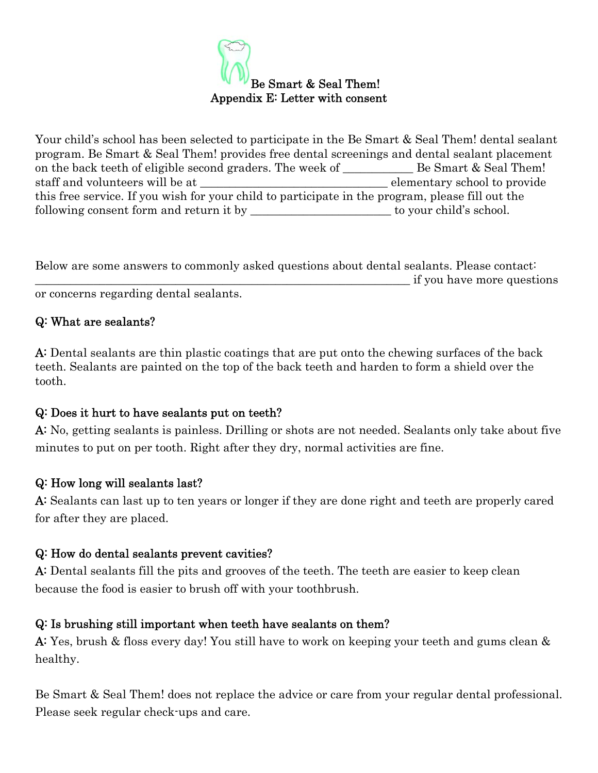

Your child's school has been selected to participate in the Be Smart & Seal Them! dental sealant program. Be Smart & Seal Them! provides free dental screenings and dental sealant placement on the back teeth of eligible second graders. The week of **Example Smart & Seal Them!** staff and volunteers will be at  $\qquad \qquad$  elementary school to provide this free service. If you wish for your child to participate in the program, please fill out the following consent form and return it by \_\_\_\_\_\_\_\_\_\_\_\_\_\_\_\_\_\_\_\_\_\_\_\_ to your child's school.

Below are some answers to commonly asked questions about dental sealants. Please contact: \_\_\_\_\_\_\_\_\_\_\_\_\_\_\_\_\_\_\_\_\_\_\_\_\_\_\_\_\_\_\_\_\_\_\_\_\_\_\_\_\_\_\_\_\_\_\_\_\_\_\_\_\_\_\_\_\_\_\_\_\_\_\_\_ if you have more questions or concerns regarding dental sealants.

#### Q: What are sealants?

A: Dental sealants are thin plastic coatings that are put onto the chewing surfaces of the back teeth. Sealants are painted on the top of the back teeth and harden to form a shield over the tooth.

#### Q: Does it hurt to have sealants put on teeth?

A: No, getting sealants is painless. Drilling or shots are not needed. Sealants only take about five minutes to put on per tooth. Right after they dry, normal activities are fine.

#### Q: How long will sealants last?

A: Sealants can last up to ten years or longer if they are done right and teeth are properly cared for after they are placed.

#### Q: How do dental sealants prevent cavities?

A: Dental sealants fill the pits and grooves of the teeth. The teeth are easier to keep clean because the food is easier to brush off with your toothbrush.

#### Q: Is brushing still important when teeth have sealants on them?

A: Yes, brush & floss every day! You still have to work on keeping your teeth and gums clean & healthy.

Be Smart & Seal Them! does not replace the advice or care from your regular dental professional. Please seek regular check-ups and care.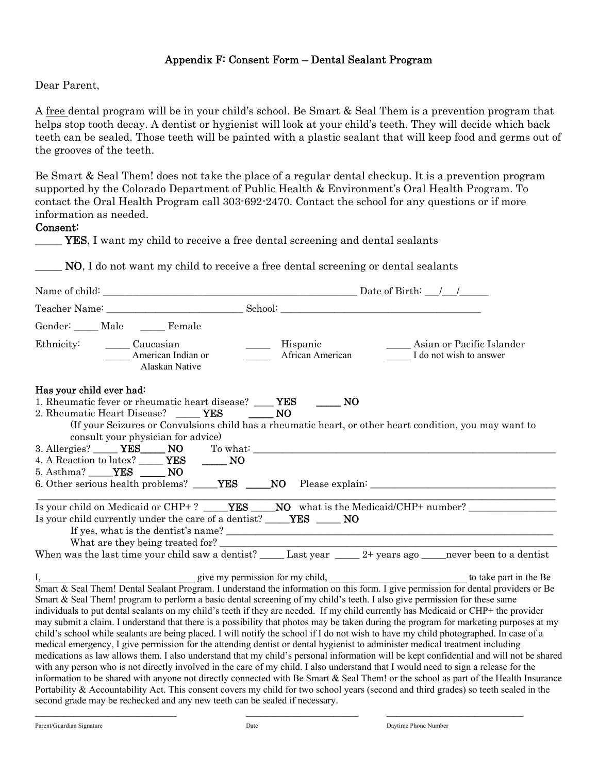#### Appendix F: Consent Form – Dental Sealant Program

Dear Parent,

A free dental program will be in your child's school. Be Smart & Seal Them is a prevention program that helps stop tooth decay. A dentist or hygienist will look at your child's teeth. They will decide which back teeth can be sealed. Those teeth will be painted with a plastic sealant that will keep food and germs out of the grooves of the teeth.

Be Smart & Seal Them! does not take the place of a regular dental checkup. It is a prevention program supported by the Colorado Department of Public Health & Environment's Oral Health Program. To contact the Oral Health Program call 303-692-2470. Contact the school for any questions or if more information as needed.

#### Consent:

YES, I want my child to receive a free dental screening and dental sealants

NO, I do not want my child to receive a free dental screening or dental sealants

|                          | Gender: ____ Male _____ Female                                                                                                               |                                                                                                                                                                                                                                                                                                                                                                                                                                                                                                                                                                                                                                                                                                                                                                                                                                                                                                                                                                                                                                                                                                                                                                                                                                                                                                                                                                                                                                                                         |  |
|--------------------------|----------------------------------------------------------------------------------------------------------------------------------------------|-------------------------------------------------------------------------------------------------------------------------------------------------------------------------------------------------------------------------------------------------------------------------------------------------------------------------------------------------------------------------------------------------------------------------------------------------------------------------------------------------------------------------------------------------------------------------------------------------------------------------------------------------------------------------------------------------------------------------------------------------------------------------------------------------------------------------------------------------------------------------------------------------------------------------------------------------------------------------------------------------------------------------------------------------------------------------------------------------------------------------------------------------------------------------------------------------------------------------------------------------------------------------------------------------------------------------------------------------------------------------------------------------------------------------------------------------------------------------|--|
|                          | Ethnicity: <u>Caucasian</u><br>American Indian or<br>Alaskan Native                                                                          | Hispanic<br>____ Asian or Pacific Islander<br>African American<br>I do not wish to answer                                                                                                                                                                                                                                                                                                                                                                                                                                                                                                                                                                                                                                                                                                                                                                                                                                                                                                                                                                                                                                                                                                                                                                                                                                                                                                                                                                               |  |
| Has your child ever had: | 1. Rheumatic fever or rheumatic heart disease? _____ YES _______ NO<br>2. Rheumatic Heart Disease? YES<br>consult your physician for advice) | <b>NO</b><br>(If your Seizures or Convulsions child has a rheumatic heart, or other heart condition, you may want to                                                                                                                                                                                                                                                                                                                                                                                                                                                                                                                                                                                                                                                                                                                                                                                                                                                                                                                                                                                                                                                                                                                                                                                                                                                                                                                                                    |  |
|                          |                                                                                                                                              |                                                                                                                                                                                                                                                                                                                                                                                                                                                                                                                                                                                                                                                                                                                                                                                                                                                                                                                                                                                                                                                                                                                                                                                                                                                                                                                                                                                                                                                                         |  |
|                          | 4. A Reaction to latex? _______ YES _______ NO<br>5. Asthma? _____ <b>YES</b> _____ <b>NO</b>                                                |                                                                                                                                                                                                                                                                                                                                                                                                                                                                                                                                                                                                                                                                                                                                                                                                                                                                                                                                                                                                                                                                                                                                                                                                                                                                                                                                                                                                                                                                         |  |
|                          |                                                                                                                                              |                                                                                                                                                                                                                                                                                                                                                                                                                                                                                                                                                                                                                                                                                                                                                                                                                                                                                                                                                                                                                                                                                                                                                                                                                                                                                                                                                                                                                                                                         |  |
|                          | Is your child currently under the care of a dentist? _____YES ______ NO                                                                      | When was the last time your child saw a dentist? $\_\_\_\$ Last year $\_\_\_\$ 2+ years ago $\_\_\_\$ never been to a dentist                                                                                                                                                                                                                                                                                                                                                                                                                                                                                                                                                                                                                                                                                                                                                                                                                                                                                                                                                                                                                                                                                                                                                                                                                                                                                                                                           |  |
|                          |                                                                                                                                              | I, give my permission for my child, the form in the Be to take part in the Be Smart & Seal Them! Dental Sealant Program. I understand the information on this form. I give permission for dental providers or Be<br>Smart & Seal Them! program to perform a basic dental screening of my child's teeth. I also give permission for these same<br>individuals to put dental sealants on my child's teeth if they are needed. If my child currently has Medicaid or CHP+ the provider<br>may submit a claim. I understand that there is a possibility that photos may be taken during the program for marketing purposes at my<br>child's school while sealants are being placed. I will notify the school if I do not wish to have my child photographed. In case of a<br>medical emergency, I give permission for the attending dentist or dental hygienist to administer medical treatment including<br>medications as law allows them. I also understand that my child's personal information will be kept confidential and will not be shared<br>with any person who is not directly involved in the care of my child. I also understand that I would need to sign a release for the<br>information to be shared with anyone not directly connected with Be Smart & Seal Them! or the school as part of the Health Insurance<br>Portability & Accountability Act. This consent covers my child for two school years (second and third grades) so teeth sealed in the |  |

second grade may be rechecked and any new teeth can be sealed if necessary.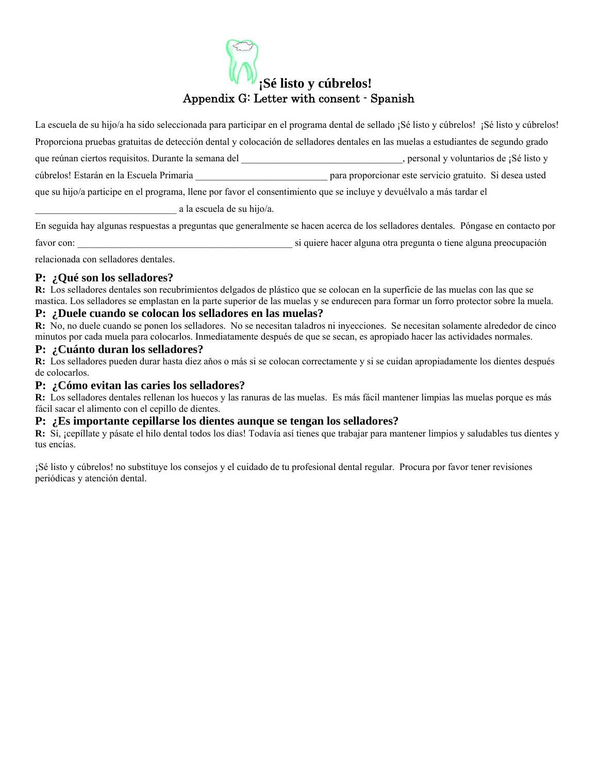#### **¡Sé listo y cúbrelos!**  Appendix G: Letter with consent - Spanish

La escuela de su hijo/a ha sido seleccionada para participar en el programa dental de sellado ¡Sé listo y cúbrelos! ¡Sé listo y cúbrelos! Proporciona pruebas gratuitas de detección dental y colocación de selladores dentales en las muelas a estudiantes de segundo grado que reúnan ciertos requisitos. Durante la semana del el establece en el establece en el establece en el establece en el establece en el establece en el establece en el establece en el establece en el establece en el establ cúbrelos! Estarán en la Escuela Primaria \_\_\_\_\_\_\_\_\_\_\_\_\_\_\_\_\_\_\_\_\_\_\_\_\_\_\_ para proporcionar este servicio gratuito. Si desea usted que su hijo/a participe en el programa, llene por favor el consentimiento que se incluye y devuélvalo a más tardar el

\_\_\_\_\_\_\_\_\_\_\_\_\_\_\_\_\_\_\_\_\_\_\_\_\_\_\_\_\_ a la escuela de su hijo/a.

En seguida hay algunas respuestas a preguntas que generalmente se hacen acerca de los selladores dentales. Póngase en contacto por favor con: \_\_\_\_\_\_\_\_\_\_\_\_\_\_\_\_\_\_\_\_\_\_\_\_\_\_\_\_\_\_\_\_\_\_\_\_\_\_\_\_\_\_\_\_ si quiere hacer alguna otra pregunta o tiene alguna preocupación

relacionada con selladores dentales.

#### **P: ¿Qué son los selladores?**

**R:** Los selladores dentales son recubrimientos delgados de plástico que se colocan en la superficie de las muelas con las que se mastica. Los selladores se emplastan en la parte superior de las muelas y se endurecen para formar un forro protector sobre la muela.

#### **P: ¿Duele cuando se colocan los selladores en las muelas?**

**R:** No, no duele cuando se ponen los selladores. No se necesitan taladros ni inyecciones. Se necesitan solamente alrededor de cinco minutos por cada muela para colocarlos. Inmediatamente después de que se secan, es apropiado hacer las actividades normales.

#### **P: ¿Cuánto duran los selladores?**

**R:** Los selladores pueden durar hasta diez aňos o más si se colocan correctamente y si se cuidan apropiadamente los dientes después de colocarlos.

#### **P: ¿Cómo evitan las caries los selladores?**

**R:** Los selladores dentales rellenan los huecos y las ranuras de las muelas. Es más fácil mantener limpias las muelas porque es más fácil sacar el alimento con el cepillo de dientes.

#### **P: ¿Es importante cepillarse los dientes aunque se tengan los selladores?**

R: Sí, ¡cepíllate y pásate el hilo dental todos los días! Todavía así tienes que trabajar para mantener limpios y saludables tus dientes y tus encías.

¡Sé listo y cúbrelos! no substituye los consejos y el cuidado de tu profesional dental regular. Procura por favor tener revisiones periódicas y atención dental.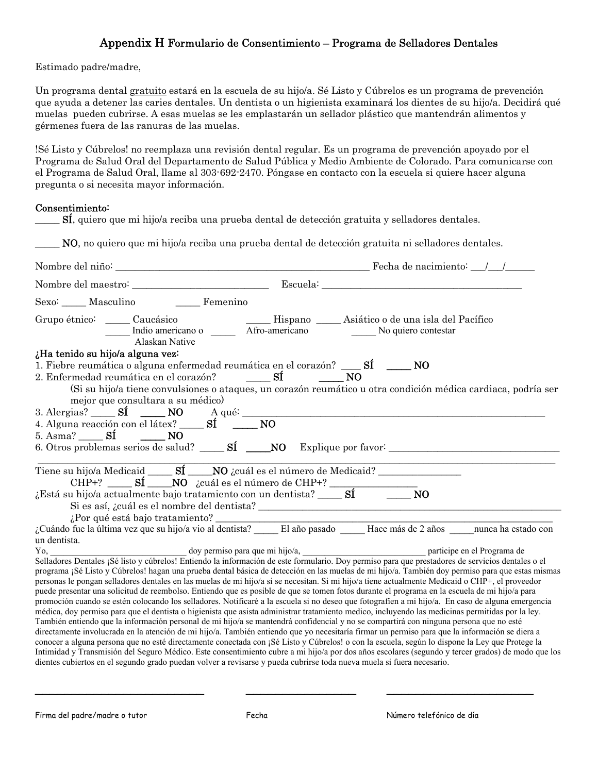#### Appendix H Formulario de Consentimiento – Programa de Selladores Dentales

Estimado padre/madre,

Un programa dental gratuito estará en la escuela de su hijo/a. Sé Listo y Cúbrelos es un programa de prevención que ayuda a detener las caries dentales. Un dentista o un higienista examinará los dientes de su hijo/a. Decidirá qué muelas pueden cubrirse. A esas muelas se les emplastarán un sellador plástico que mantendrán alimentos y gérmenes fuera de las ranuras de las muelas.

!Sé Listo y Cúbrelos! no reemplaza una revisión dental regular. Es un programa de prevención apoyado por el Programa de Salud Oral del Departamento de Salud Pública y Medio Ambiente de Colorado. Para comunicarse con el Programa de Salud Oral, llame al 303-692-2470. Póngase en contacto con la escuela si quiere hacer alguna pregunta o si necesita mayor información.

#### Consentimiento:

|              |                                                                       | Sexo: Masculino Femenino                                                                                                                                                                                                                                                                                                                                                                                                                                                                                                                                                                                                                                                                                                                                                                                                                                                                                                                                                                                                                                                                   |                                                                                                                                                   |                             |                                                                                                                                                                                                                                                                                                       |
|--------------|-----------------------------------------------------------------------|--------------------------------------------------------------------------------------------------------------------------------------------------------------------------------------------------------------------------------------------------------------------------------------------------------------------------------------------------------------------------------------------------------------------------------------------------------------------------------------------------------------------------------------------------------------------------------------------------------------------------------------------------------------------------------------------------------------------------------------------------------------------------------------------------------------------------------------------------------------------------------------------------------------------------------------------------------------------------------------------------------------------------------------------------------------------------------------------|---------------------------------------------------------------------------------------------------------------------------------------------------|-----------------------------|-------------------------------------------------------------------------------------------------------------------------------------------------------------------------------------------------------------------------------------------------------------------------------------------------------|
|              |                                                                       | Grupo étnico: Caucásico Caucásico Mispano Asiático o de una isla del Pacífico Mispano Caucásico Caucásico Mispano Caucásico Mispano Caucásico Caucásico Mispano Caucásico Caucásico Caucásico Caucásico Caucásico Caucásico Ca                                                                                                                                                                                                                                                                                                                                                                                                                                                                                                                                                                                                                                                                                                                                                                                                                                                             |                                                                                                                                                   |                             |                                                                                                                                                                                                                                                                                                       |
|              | ¿Ha tenido su hijo/a alguna vez:<br>mejor que consultara a su médico) | 1. Fiebre reumática o alguna enfermedad reumática en el corazón? ______ SÍ _______ NO<br>2. Enfermedad reumática en el corazón? $\underline{\qquad \qquad }$ $\textbf{S1}$ $\underline{\qquad \qquad }$ NO                                                                                                                                                                                                                                                                                                                                                                                                                                                                                                                                                                                                                                                                                                                                                                                                                                                                                 |                                                                                                                                                   |                             | (Si su hijo/a tiene convulsiones o ataques, un corazón reumático u otra condición médica cardiaca, podría ser                                                                                                                                                                                         |
|              | 5. Asma? $\qquad S$ <b>i</b> $\qquad \qquad$ <b>NO</b>                | 3. Alergias? $\overline{\text{Sf}}$ $\overline{\text{Sf}}$ $\overline{\text{NO}}$ $\overline{\text{A}}$ qué: $\overline{\text{NO}}$ $\overline{\text{A}}$ and $\overline{\text{A}}$ and $\overline{\text{O}}$ $\overline{\text{A}}$ and $\overline{\text{A}}$ and $\overline{\text{A}}$ and $\overline{\text{A}}$ and $\overline{\text{A}}$ and $\overline{\text{A}}$ and $\overline{\text{A}}$ and                                                                                                                                                                                                                                                                                                                                                                                                                                                                                                                                                                                                                                                                                        |                                                                                                                                                   |                             |                                                                                                                                                                                                                                                                                                       |
|              |                                                                       | CHP+? $\overline{\text{C}}$ SÍ $\overline{\text{NO}}$ <i>i</i> cuál es el número de CHP+? $\overline{\text{C}}$ <i>i</i> cuál es el número de CHP+? $\overline{\text{C}}$ SÍ $\overline{\text{C}}$ NO<br>Si es así, ¿cuál es el nombre del dentista? $\overline{\phantom{a}}$                                                                                                                                                                                                                                                                                                                                                                                                                                                                                                                                                                                                                                                                                                                                                                                                              |                                                                                                                                                   |                             |                                                                                                                                                                                                                                                                                                       |
| un dentista. |                                                                       |                                                                                                                                                                                                                                                                                                                                                                                                                                                                                                                                                                                                                                                                                                                                                                                                                                                                                                                                                                                                                                                                                            |                                                                                                                                                   |                             |                                                                                                                                                                                                                                                                                                       |
| Yo,          |                                                                       | doy permiso para que mi hijo/a,<br>Selladores Dentales ¡Sé listo y cúbrelos! Entiendo la información de este formulario. Doy permiso para que prestadores de servicios dentales o el<br>personas le pongan selladores dentales en las muelas de mi hijo/a si se necesitan. Si mi hijo/a tiene actualmente Medicaid o CHP+, el proveedor<br>puede presentar una solicitud de reembolso. Entiendo que es posible de que se tomen fotos durante el programa en la escuela de mi hijo/a para<br>médica, doy permiso para que el dentista o higienista que asista administrar tratamiento medico, incluyendo las medicinas permitidas por la ley.<br>También entiendo que la información personal de mi hijo/a se mantendrá confidencial y no se compartirá con ninguna persona que no esté<br>directamente involucrada en la atención de mi hijo/a. También entiendo que yo necesitaría firmar un permiso para que la información se diera a<br>conocer a alguna persona que no esté directamente conectada con ¡Sé Listo y Cúbrelos! o con la escuela, según lo dispone la Ley que Protege la | Intimidad y Transmisión del Seguro Médico. Este consentimiento cubre a mi hijo/a por dos años escolares (segundo y tercer grados) de modo que los | participe en el Programa de | programa ¡Sé Listo y Cúbrelos! hagan una prueba dental básica de detección en las muelas de mi hijo/a. También doy permiso para que estas mismas<br>promoción cuando se estén colocando los selladores. Notificaré a la escuela si no deseo que fotografíen a mi hijo/a. En caso de alguna emergencia |

 $\blacksquare$ 

dientes cubiertos en el segundo grado puedan volver a revisarse y pueda cubrirse toda nueva muela si fuera necesario.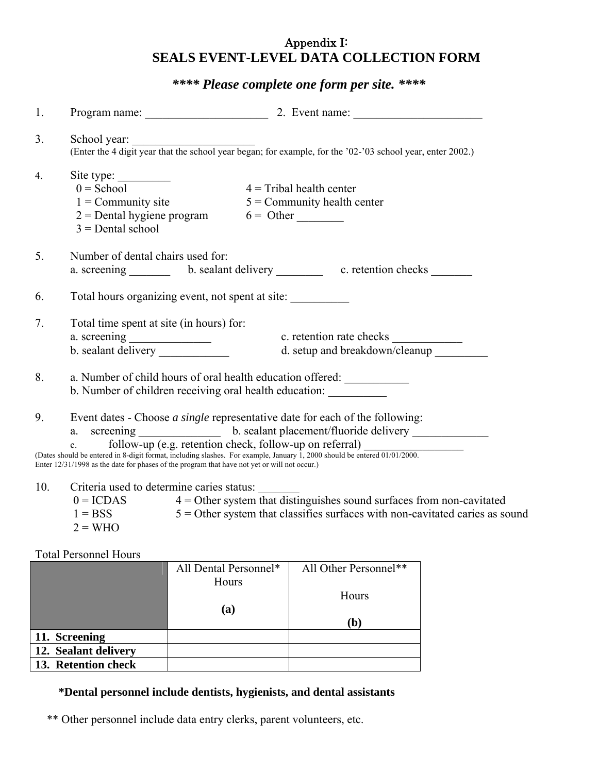#### Appendix I: **SEALS EVENT-LEVEL DATA COLLECTION FORM**

#### *\*\*\*\* Please complete one form per site. \*\*\*\**

| 1.  |                                                                                    |                                                                                              | Program name: 2. Event name: 2. Event name:                                                                                                                                                                                                                                                                                                                         |  |
|-----|------------------------------------------------------------------------------------|----------------------------------------------------------------------------------------------|---------------------------------------------------------------------------------------------------------------------------------------------------------------------------------------------------------------------------------------------------------------------------------------------------------------------------------------------------------------------|--|
| 3.  | School year:                                                                       |                                                                                              | (Enter the 4 digit year that the school year began; for example, for the '02-'03 school year, enter 2002.)                                                                                                                                                                                                                                                          |  |
| 4.  | Site type:<br>$0 =$ School<br>$1 =$ Community site<br>$3 =$ Dental school          | $2 =$ Dental hygiene program $6 =$ Other                                                     | $4 =$ Tribal health center<br>$5 =$ Community health center                                                                                                                                                                                                                                                                                                         |  |
| 5.  | Number of dental chairs used for:                                                  |                                                                                              | a. screening b. sealant delivery c. retention checks                                                                                                                                                                                                                                                                                                                |  |
| 6.  |                                                                                    | Total hours organizing event, not spent at site:                                             |                                                                                                                                                                                                                                                                                                                                                                     |  |
| 7.  | Total time spent at site (in hours) for:                                           | a. screening<br>b. sealant delivery                                                          | c. retention rate checks<br>d. setup and breakdown/cleanup                                                                                                                                                                                                                                                                                                          |  |
| 8.  |                                                                                    | b. Number of children receiving oral health education:                                       | a. Number of child hours of oral health education offered:                                                                                                                                                                                                                                                                                                          |  |
| 9.  | a.                                                                                 | Enter 12/31/1998 as the date for phases of the program that have not yet or will not occur.) | Event dates - Choose <i>a single</i> representative date for each of the following:<br>screening _________________ b. sealant placement/fluoride delivery ______________<br>c. follow-up (e.g. retention check, follow-up on referral)<br>(Dates should be entered in 8-digit format, including slashes. For example, January 1, 2000 should be entered 01/01/2000. |  |
| 10. | Criteria used to determine caries status:<br>$0 = ICDAS$<br>$1 = BSS$<br>$2 = WHO$ |                                                                                              | $4 =$ Other system that distinguishes sound surfaces from non-cavitated<br>$5 =$ Other system that classifies surfaces with non-cavitated caries as sound                                                                                                                                                                                                           |  |
|     | <b>Total Personnel Hours</b>                                                       |                                                                                              |                                                                                                                                                                                                                                                                                                                                                                     |  |
|     |                                                                                    | Hours                                                                                        | All Dental Personnel*   All Other Personnel**                                                                                                                                                                                                                                                                                                                       |  |

|                      | ------ | Hours          |
|----------------------|--------|----------------|
|                      | (a)    | $\mathbf{(b)}$ |
| 11. Screening        |        |                |
| 12. Sealant delivery |        |                |
| 13. Retention check  |        |                |

#### **\*Dental personnel include dentists, hygienists, and dental assistants**

\*\* Other personnel include data entry clerks, parent volunteers, etc.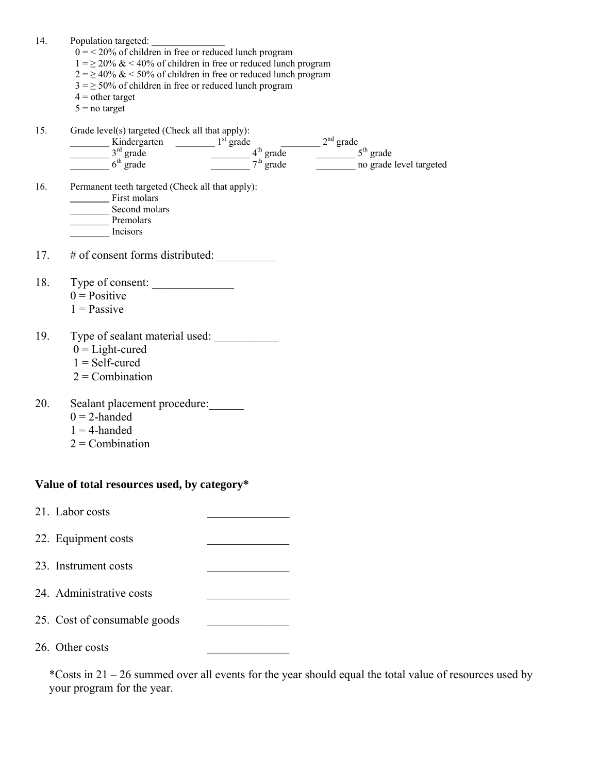| 14. | Population targeted:<br>$0 = 20\%$ of children in free or reduced lunch program<br>$1 = \ge 20\% \& 40\%$ of children in free or reduced lunch program<br>$2 = \ge 40\%$ & < 50% of children in free or reduced lunch program<br>$3 = \ge 50\%$ of children in free or reduced lunch program<br>$4 =$ other target<br>$5 = no$ target |                         |
|-----|---------------------------------------------------------------------------------------------------------------------------------------------------------------------------------------------------------------------------------------------------------------------------------------------------------------------------------------|-------------------------|
| 15. | Grade level(s) targeted (Check all that apply):                                                                                                                                                                                                                                                                                       |                         |
|     |                                                                                                                                                                                                                                                                                                                                       |                         |
|     | $\frac{1}{3^{rd}}$ grade<br>$\frac{3^{rd}}{6^{th}}$ grade<br>$\frac{3^{rd}}{6^{th}}$ grade<br>$\frac{4^{th}}{7^{th}}$ grade<br>$\frac{2^{nd}}{1^{th}}$ grade<br>$\frac{2^{nd}}{1^{th}}$ grade<br>$\frac{2^{nd}}{1^{th}}$ grade<br>$\frac{2^{th}}{1^{th}}$ grade                                                                       | no grade level targeted |
| 16. | Permanent teeth targeted (Check all that apply):<br>First molars<br>Second molars<br>Premolars<br>Incisors                                                                                                                                                                                                                            |                         |
|     | 17. $\#$ of consent forms distributed:                                                                                                                                                                                                                                                                                                |                         |
| 18. | Type of consent:                                                                                                                                                                                                                                                                                                                      |                         |
|     | $0 = Positive$                                                                                                                                                                                                                                                                                                                        |                         |
|     | $1 =$ Passive                                                                                                                                                                                                                                                                                                                         |                         |
| 19. | Type of sealant material used:<br>$0 =$ Light-cured<br>$1 = Self$ -cured<br>$2 =$ Combination                                                                                                                                                                                                                                         |                         |
| 20. | Sealant placement procedure:                                                                                                                                                                                                                                                                                                          |                         |
|     | $0 = 2$ -handed                                                                                                                                                                                                                                                                                                                       |                         |
|     | $1 = 4$ -handed                                                                                                                                                                                                                                                                                                                       |                         |
|     | $2 =$ Combination                                                                                                                                                                                                                                                                                                                     |                         |
|     |                                                                                                                                                                                                                                                                                                                                       |                         |
|     | Value of total resources used, by category*                                                                                                                                                                                                                                                                                           |                         |
|     | 21. Labor costs                                                                                                                                                                                                                                                                                                                       |                         |
|     | 22. Equipment costs                                                                                                                                                                                                                                                                                                                   |                         |
|     | 23. Instrument costs                                                                                                                                                                                                                                                                                                                  |                         |
|     | 24. Administrative costs                                                                                                                                                                                                                                                                                                              |                         |
|     | 25. Cost of consumable goods                                                                                                                                                                                                                                                                                                          |                         |
|     | 26. Other costs                                                                                                                                                                                                                                                                                                                       |                         |

\*Costs in 21 – 26 summed over all events for the year should equal the total value of resources used by your program for the year.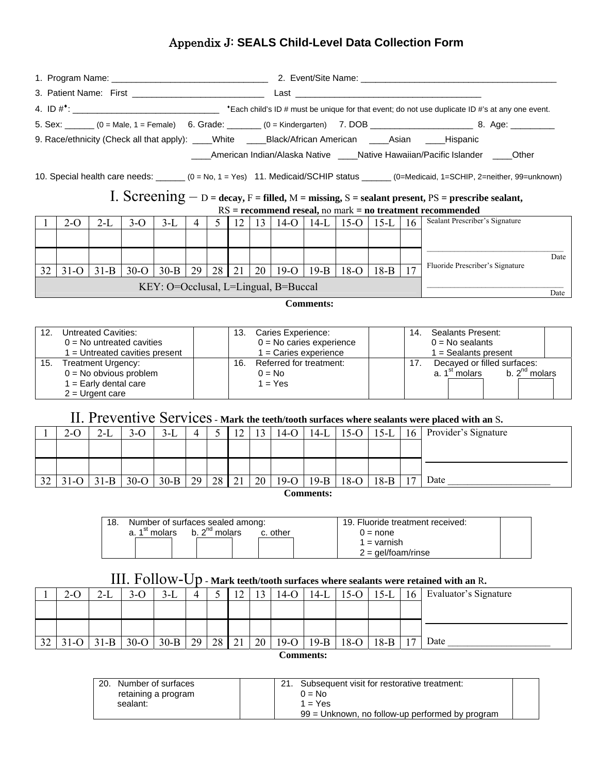#### Appendix J: **SEALS Child-Level Data Collection Form**

|    |        |        |        |          |    |    |    |                                      |                    |        |                                                        |    | 5. Sex: ______ (0 = Male, 1 = Female) 6. Grade: _______ (0 = Kindergarten) 7. DOB ________________________ 8. Age: ___________                                                                                                             |
|----|--------|--------|--------|----------|----|----|----|--------------------------------------|--------------------|--------|--------------------------------------------------------|----|--------------------------------------------------------------------------------------------------------------------------------------------------------------------------------------------------------------------------------------------|
|    |        |        |        |          |    |    |    |                                      |                    |        |                                                        |    | 9. Race/ethnicity (Check all that apply): ____White _____Black/African American ____Asian ____Hispanic                                                                                                                                     |
|    |        |        |        |          |    |    |    |                                      |                    |        |                                                        |    | American Indian/Alaska Native           Native Hawaiian/Pacific Islander           Other                                                                                                                                                   |
|    |        |        |        |          |    |    |    |                                      |                    |        |                                                        |    | 10. Special health care needs: ______ (0 = No, 1 = Yes) 11. Medicaid/SCHIP status ______ (0=Medicaid, 1=SCHIP, 2=neither, 99=unknown)<br>I. Screening $-$ D = decay, F = filled, M = missing, S = sealant present, PS = prescribe sealant, |
|    |        |        |        |          |    |    |    |                                      |                    |        |                                                        |    | $RS =$ recommend reseal, no mark = no treatment recommended                                                                                                                                                                                |
|    | $2-O$  | $2-I$  | $3-O$  |          |    |    |    |                                      |                    |        | 3-L   4   5   12   13   14-O   14-L   15-O   15-L   16 |    | Sealant Prescriber's Signature                                                                                                                                                                                                             |
|    |        |        |        |          |    |    |    |                                      |                    |        |                                                        |    |                                                                                                                                                                                                                                            |
|    |        |        |        |          |    |    |    |                                      |                    |        |                                                        |    | Date                                                                                                                                                                                                                                       |
| 32 | $31-o$ | $31-B$ | $30-o$ | $30 - B$ | 29 | 28 | 21 |                                      | $20   19-O   19-B$ | $18-O$ | $18-B$                                                 | 17 | Fluoride Prescriber's Signature                                                                                                                                                                                                            |
|    |        |        |        |          |    |    |    | KEY: O=Occlusal, L=Lingual, B=Buccal |                    |        |                                                        |    | Date                                                                                                                                                                                                                                       |
|    |        |        |        |          |    |    |    |                                      | <b>Comments:</b>   |        |                                                        |    |                                                                                                                                                                                                                                            |

| 12. | <b>Untreated Cavities:</b><br>$0 = No$ untreated cavities<br>I = Untreated cavities present         | Caries Experience:<br>13.<br>$0 = No$ caries experience<br>$1 =$ Caries experience | 14. | Sealants Present:<br>$0 = No$ sealants<br>$1 =$ Sealants present               |  |
|-----|-----------------------------------------------------------------------------------------------------|------------------------------------------------------------------------------------|-----|--------------------------------------------------------------------------------|--|
| 15. | <b>Treatment Urgency:</b><br>$0 = No$ obvious problem<br>1 = Early dental care<br>$2 =$ Urgent care | Referred for treatment:<br>16.<br>$0 = No$<br>$1 = Yes$                            |     | Decayed or filled surfaces:<br>b. $2^{nd}$ molars<br>a. 1 <sup>st</sup> molars |  |

#### II. Preventive Services - **Mark the teeth/tooth surfaces where sealants were placed with an** S**.**

|    | 2-O      | 2-L    | )-U    | J-L    | 4  |    | $\overline{ }$ |                 |        | $14-L$ | 15-C   | $15-I$ | 16 | Provider's Signature |
|----|----------|--------|--------|--------|----|----|----------------|-----------------|--------|--------|--------|--------|----|----------------------|
|    |          |        |        |        |    |    |                |                 |        |        |        |        |    |                      |
|    |          |        |        |        |    |    |                |                 |        |        |        |        |    |                      |
| 32 | $31 - 0$ | $31-B$ | $30-o$ | $30-B$ | 29 | 28 | 21             | 20 <sub>1</sub> | $19-°$ | $19-B$ | $18-O$ | $18-B$ | 17 | Date                 |

 **Comments:** 

| 18. |                           | Number of surfaces sealed among: |          | 19. Fluoride treatment received: |  |
|-----|---------------------------|----------------------------------|----------|----------------------------------|--|
|     | a. 1 <sup>st</sup> molars | b. $2^{nd}$ molars               | c. other | 0 = none                         |  |
|     |                           |                                  |          | 1 = varnish                      |  |
|     |                           |                                  |          | $2 =$ qel/foam/rinse             |  |

#### III. Follow-Up - **Mark teeth/tooth surfaces where sealants were retained with an** R**.**

| Evaluator's Signature<br>14-L<br>15-C<br>16<br>$3-L$<br>!4-C<br>$2-O$<br>∠−∟<br>J-U<br>$13 - L$<br>$\overline{1}$          |  |
|----------------------------------------------------------------------------------------------------------------------------|--|
|                                                                                                                            |  |
|                                                                                                                            |  |
|                                                                                                                            |  |
| Date<br>28<br>21<br>29<br>32<br>20<br>$1 -$<br>$31-B$<br>$30-B$<br>$19-B$<br>$19-o$<br>$18-B$<br>$18-$<br>$30-o$<br>$31-C$ |  |

**Comments:** 

| 20. | Number of surfaces  |                                                   | Subsequent visit for restorative treatment: |  |
|-----|---------------------|---------------------------------------------------|---------------------------------------------|--|
|     | retaining a program |                                                   | 0 = No                                      |  |
|     | sealant:            |                                                   | 1 = Yes                                     |  |
|     |                     | $99$ = Unknown, no follow-up performed by program |                                             |  |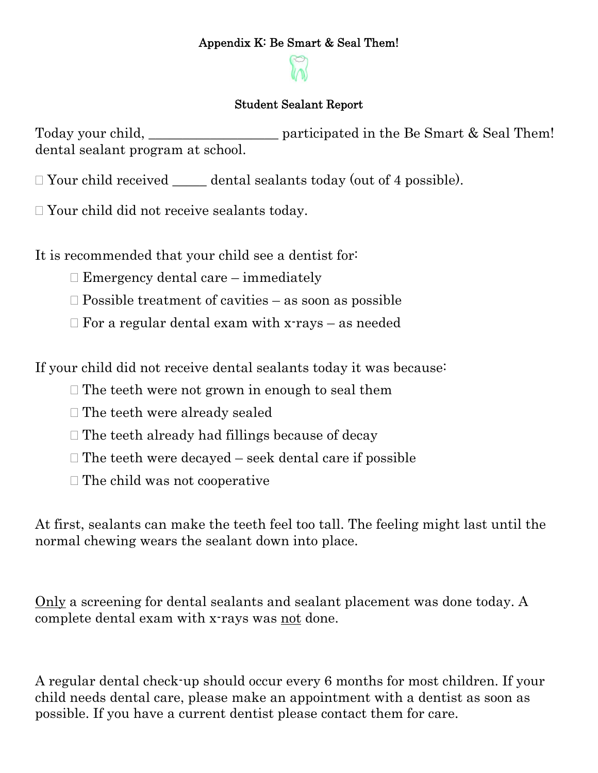#### Appendix K: Be Smart & Seal Them!

#### Student Sealant Report

Today your child, participated in the Be Smart & Seal Them! dental sealant program at school.

 $\Box$  Your child received dental sealants today (out of 4 possible).

Your child did not receive sealants today.

It is recommended that your child see a dentist for:

- $\Box$  Emergency dental care immediately
- $\Box$  Possible treatment of cavities as soon as possible
- $\Box$  For a regular dental exam with x-rays as needed

If your child did not receive dental sealants today it was because:

- $\Box$  The teeth were not grown in enough to seal them
- □ The teeth were already sealed
- $\Box$  The teeth already had fillings because of decay
- $\Box$  The teeth were decayed seek dental care if possible
- $\Box$  The child was not cooperative

At first, sealants can make the teeth feel too tall. The feeling might last until the normal chewing wears the sealant down into place.

Only a screening for dental sealants and sealant placement was done today. A complete dental exam with x-rays was not done.

A regular dental check-up should occur every 6 months for most children. If your child needs dental care, please make an appointment with a dentist as soon as possible. If you have a current dentist please contact them for care.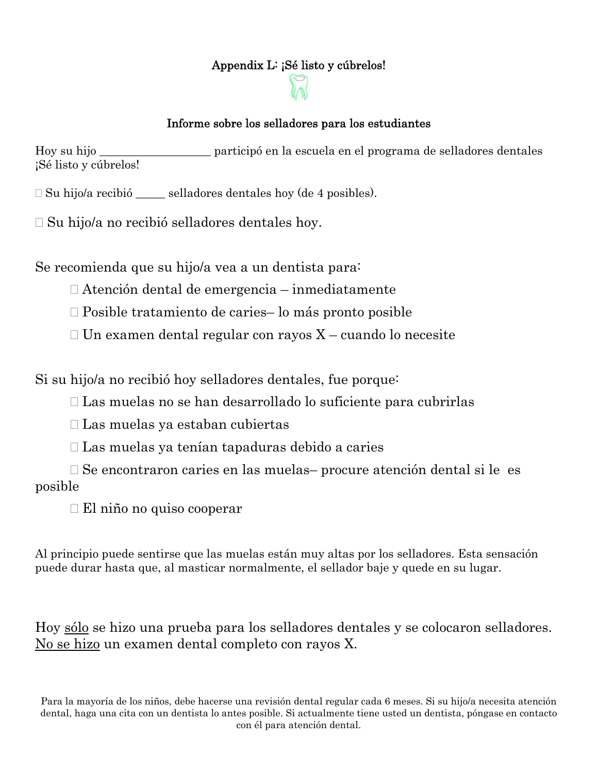#### Appendix L: ¡Sé listo y cúbrelos!



#### Informe sobre los selladores para los estudiantes

Hoy su hijo \_\_\_\_\_\_\_\_\_\_\_\_\_\_\_\_\_\_\_ participó en la escuela en el programa de selladores dentales ¡Sé listo y cúbrelos!

Su hijo/a recibió \_\_\_\_\_ selladores dentales hoy (de 4 posibles).

 $\square$  Su hijo/a no recibió selladores dentales hoy.

Se recomienda que su hijo/a vea a un dentista para:

Atención dental de emergencia – inmediatamente

Posible tratamiento de caries– lo más pronto posible

 $\Box$  Un examen dental regular con rayos X – cuando lo necesite

Si su hijo/a no recibió hoy selladores dentales, fue porque:

Las muelas no se han desarrollado lo suficiente para cubrirlas

Las muelas ya estaban cubiertas

Las muelas ya tenían tapaduras debido a caries

 Se encontraron caries en las muelas– procure atención dental si le es posible

El niño no quiso cooperar

Al principio puede sentirse que las muelas están muy altas por los selladores. Esta sensación puede durar hasta que, al masticar normalmente, el sellador baje y quede en su lugar.

Hoy sólo se hizo una prueba para los selladores dentales y se colocaron selladores. No se hizo un examen dental completo con rayos X.

Para la mayoría de los niños, debe hacerse una revisión dental regular cada 6 meses. Si su hijo/a necesita atención dental, haga una cita con un dentista lo antes posible. Si actualmente tiene usted un dentista, póngase en contacto con él para atención dental.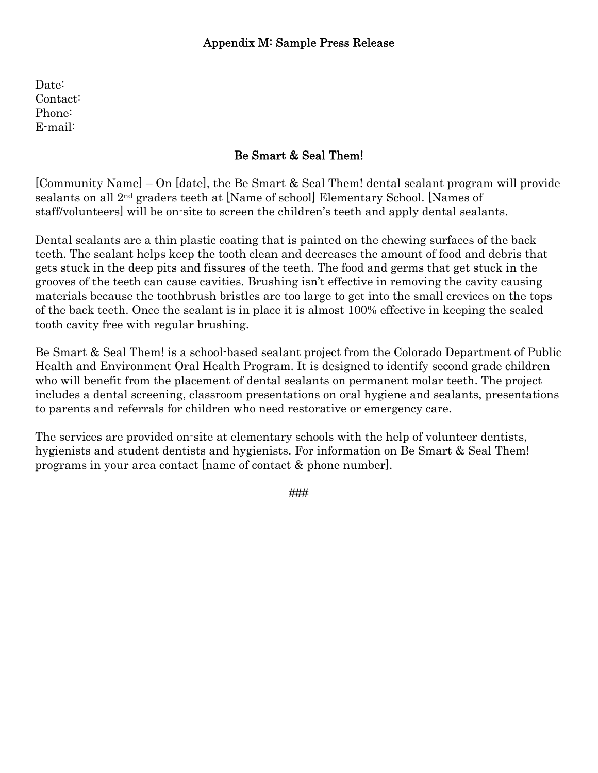Date: Contact: Phone: E-mail:

#### Be Smart & Seal Them!

[Community Name] – On [date], the Be Smart & Seal Them! dental sealant program will provide sealants on all 2nd graders teeth at [Name of school] Elementary School. [Names of staff/volunteers] will be on-site to screen the children's teeth and apply dental sealants.

Dental sealants are a thin plastic coating that is painted on the chewing surfaces of the back teeth. The sealant helps keep the tooth clean and decreases the amount of food and debris that gets stuck in the deep pits and fissures of the teeth. The food and germs that get stuck in the grooves of the teeth can cause cavities. Brushing isn't effective in removing the cavity causing materials because the toothbrush bristles are too large to get into the small crevices on the tops of the back teeth. Once the sealant is in place it is almost 100% effective in keeping the sealed tooth cavity free with regular brushing.

Be Smart & Seal Them! is a school-based sealant project from the Colorado Department of Public Health and Environment Oral Health Program. It is designed to identify second grade children who will benefit from the placement of dental sealants on permanent molar teeth. The project includes a dental screening, classroom presentations on oral hygiene and sealants, presentations to parents and referrals for children who need restorative or emergency care.

The services are provided on-site at elementary schools with the help of volunteer dentists, hygienists and student dentists and hygienists. For information on Be Smart & Seal Them! programs in your area contact [name of contact & phone number].

###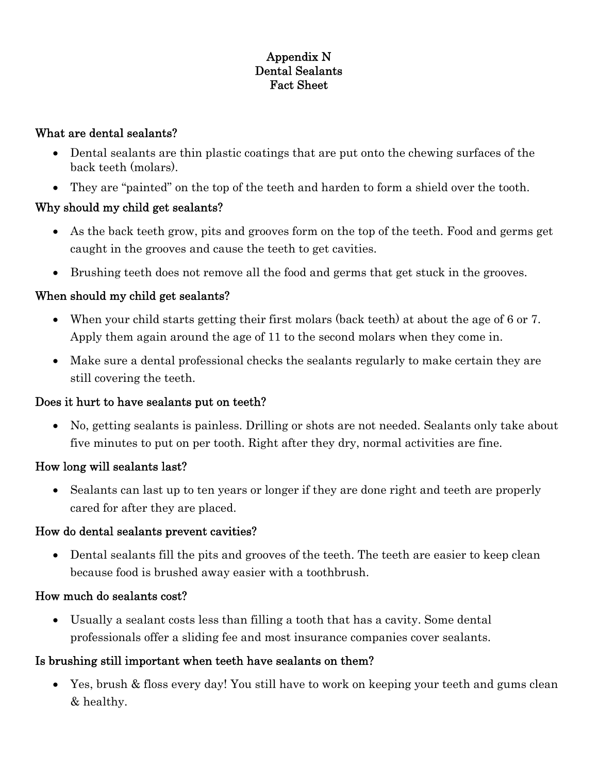#### Appendix N Dental Sealants Fact Sheet

#### What are dental sealants?

- Dental sealants are thin plastic coatings that are put onto the chewing surfaces of the back teeth (molars).
- They are "painted" on the top of the teeth and harden to form a shield over the tooth.

#### Why should my child get sealants?

- As the back teeth grow, pits and grooves form on the top of the teeth. Food and germs get caught in the grooves and cause the teeth to get cavities.
- Brushing teeth does not remove all the food and germs that get stuck in the grooves.

#### When should my child get sealants?

- When your child starts getting their first molars (back teeth) at about the age of 6 or 7. Apply them again around the age of 11 to the second molars when they come in.
- Make sure a dental professional checks the sealants regularly to make certain they are still covering the teeth.

#### Does it hurt to have sealants put on teeth?

• No, getting sealants is painless. Drilling or shots are not needed. Sealants only take about five minutes to put on per tooth. Right after they dry, normal activities are fine.

#### How long will sealants last?

• Sealants can last up to ten years or longer if they are done right and teeth are properly cared for after they are placed.

#### How do dental sealants prevent cavities?

• Dental sealants fill the pits and grooves of the teeth. The teeth are easier to keep clean because food is brushed away easier with a toothbrush.

#### How much do sealants cost?

• Usually a sealant costs less than filling a tooth that has a cavity. Some dental professionals offer a sliding fee and most insurance companies cover sealants.

#### Is brushing still important when teeth have sealants on them?

• Yes, brush & floss every day! You still have to work on keeping your teeth and gums clean & healthy.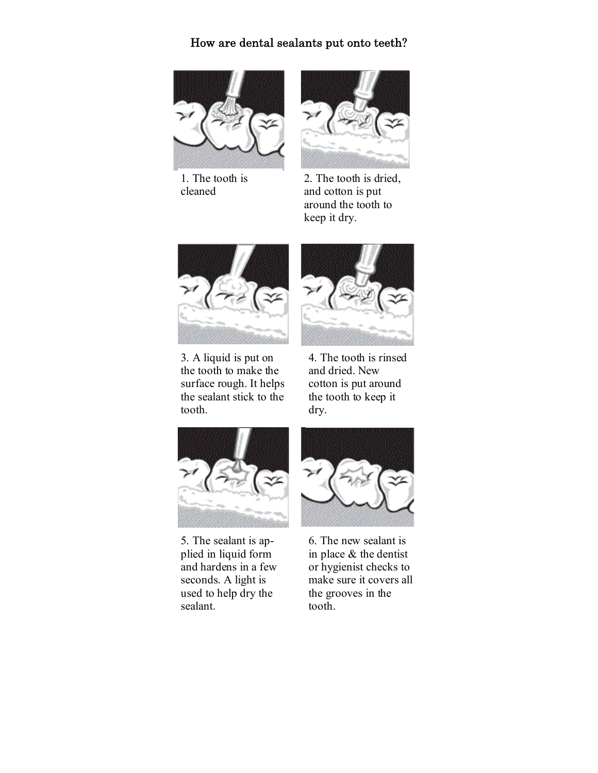#### How are dental sealants put onto teeth?



1. The tooth is cleaned



2. The tooth is dried, and cotton is put around the tooth to keep it dry.



3. A liquid is put on the tooth to make the surface rough. It helps the sealant stick to the tooth.



4. The tooth is rinsed and dried. New cotton is put around the tooth to keep it dry.



5. The sealant is applied in liquid form and hardens in a few seconds. A light is used to help dry the sealant.



6. The new sealant is in place & the dentist or hygienist checks to make sure it covers all the grooves in the tooth.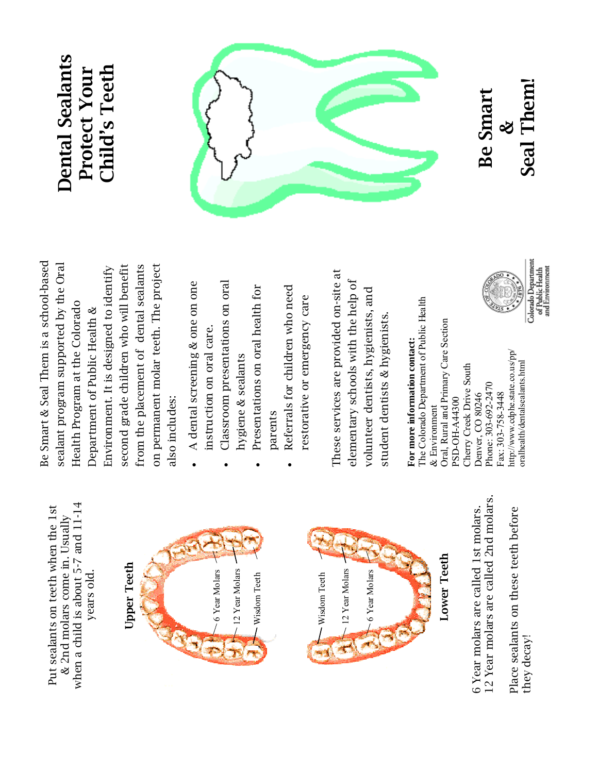when a child is about 5-7 and 11-14 when a child is about 5-7 and 11-14 Put sealants on teeth when the 1st Put sealants on teeth when the 1st & 2nd molars come in. Usually & 2nd molars come in. Usually years old. years old.





Lower Teeth Lower Teeth

12 Year molars are called 2nd molars. 12 Year molars are called 2nd molars. 6 Year molars are called 1st molars. 6 Year molars are called 1st molars.

Place sealants on these teeth before Place sealants on these teeth before they decay! they decay!

Be Smart & Seal Them is a school-based Be Smart & Seal Them is a school-based sealant program supported by the Oral on permanent molar teeth. The project second grade children who will benefit from the placement of dental sealants sealant program supported by the Oral Environment. It is designed to identify from the placement of dental sealants on permanent molar teeth. The project second grade children who will benefit Environment. It is designed to identify Health Program at the Colorado Health Program at the Colorado Department of Public Health & Department of Public Health & also includes: also includes:

A dental screening & one on one A dental screening & one on one instruction on oral care. instruction on oral care.

•

- Classroom presentations on oral Classroom presentations on oral hygiene & sealants hygiene & sealants •
	- Presentations on oral health for Presentations on oral health for parents

•

 Referrals for children who need Referrals for children who need restorative or emergency care restorative or emergency care •

These services are provided on-site at These services are provided on-site at elementary schools with the help of elementary schools with the help of volunteer dentists, hygienists, and volunteer dentists, hygienists, and student dentists & hygienists. student dentists & hygienists.

The Colorado Department of Public Health The Colorado Department of Public Health Oral, Rural and Primary Care Section Oral, Rural and Primary Care Section For more information contact: **For more information contact:** nttp://www.cdphe.state.co.us/pp/ http://www.cdphe.state.co.us/pp/ oralhealth/dentalsealants.html oralhealth/dentalsealants.html Cherry Creek Drive South Cherry Creek Drive South Phone: 303-692-2470 Phone: 303-692-2470 Denver, CO 80246 Fax: 303-758-3448 Fax: 303-758-3448 Denver, CO 80246 PSD-OH-A44300 PSD-OH-A44300 & Environment  $\&$  Environment





Be Smart Be Smart &

Seal Them! Seal Them!

Colorado Department<br>of Public Health<br>and Environment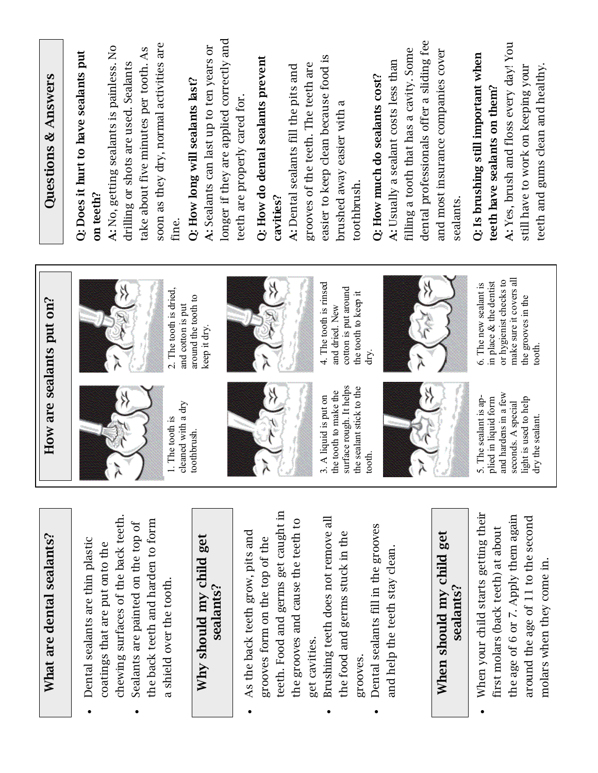| Questions & Answers       | soon as they dry, normal activities are<br>A: No, getting sealants is painless. No<br>take about five minutes per tooth. As<br>Q: Does it hurt to have sealants put<br>drilling or shots are used. Sealants<br>on teeth?<br>fine. | longer if they are applied correctly and<br>A: Sealants can last up to ten years or<br>Q: How long will sealants last? | dental professionals offer a sliding fee<br>A: Yes, brush and floss every day! You<br>filling a tooth that has a cavity. Some<br>and most insurance companies cover<br>Q: Is brushing still important when<br>easier to keep clean because food is<br>Q: How do dental sealants prevent<br>A: Usually a sealant costs less than<br>grooves of the teeth. The teeth are<br>A: Dental sealants fill the pits and<br>still have to work on keeping your<br>Q: How much do sealants cost?<br>teeth have sealants on them?<br>teeth are properly cared for.<br>brushed away easier with a<br>toothbrush<br>cavities?<br>sealants | teeth and gums clean and healthy. |
|---------------------------|-----------------------------------------------------------------------------------------------------------------------------------------------------------------------------------------------------------------------------------|------------------------------------------------------------------------------------------------------------------------|-----------------------------------------------------------------------------------------------------------------------------------------------------------------------------------------------------------------------------------------------------------------------------------------------------------------------------------------------------------------------------------------------------------------------------------------------------------------------------------------------------------------------------------------------------------------------------------------------------------------------------|-----------------------------------|
| How are sealants put on?  | 2. The tooth is dried,<br>and cotton is put<br>leaned with a dry<br>. The tooth is                                                                                                                                                | around the tooth to<br>keep it dry.<br>oothbrush.                                                                      | make sure it covers all<br>or hygienist checks to<br>in place & the dentist<br>4. The tooth is rinsed<br>6. The new sealant is<br>cotton is put around<br>the tooth to keep it<br>the grooves in the<br>and dried. New<br>dry.<br>urface rough. It helps<br>he sealant stick to the<br>he tooth to make the<br>and hardens in a few<br>A liquid is put on<br>The sealant is ap-<br>plied in liquid form<br>ight is used to help<br>seconds. A special<br>ooth.                                                                                                                                                              | to oth.<br>dry the sealant.       |
| What are dental sealants? | chewing surfaces of the back teeth.<br>the back teeth and harden to form<br>Sealants are painted on the top of<br>Dental sealants are thin plastic<br>coatings that are put onto the<br>a shield over the tooth.                  | Why should my child get<br>sealants?                                                                                   | teeth. Food and germs get caught in<br>When your child starts getting their<br>the age of 6 or 7. Apply them again<br>Brushing teeth does not remove all<br>around the age of 11 to the second<br>the grooves and cause the teeth to<br>Dental sealants fill in the grooves<br>first molars (back teeth) at about<br>As the back teeth grow, pits and<br>When should my child get<br>the food and germs stuck in the<br>grooves form on the top of the<br>and help the teeth stay clean.<br>sealants?<br>get cavities.<br>grooves.                                                                                          | molars when they come in.         |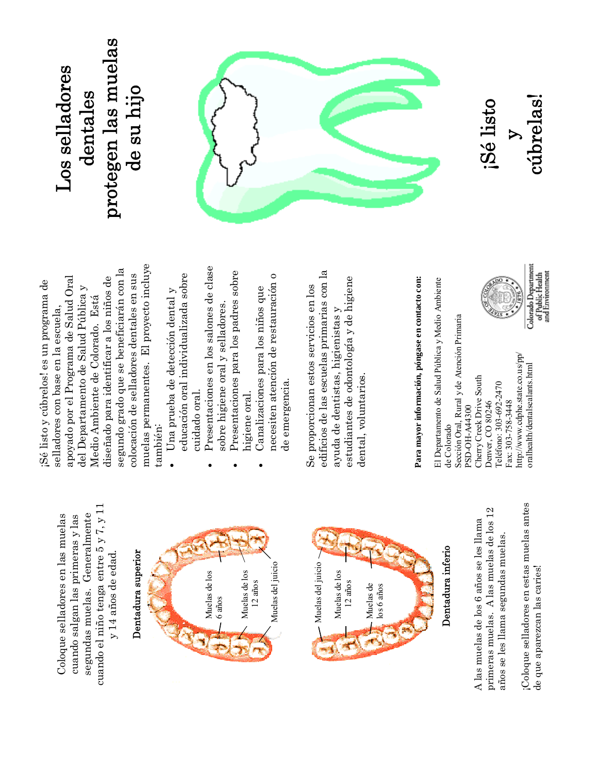cuando el niño tenga entre 5 y 7, y 11 cuando el niño tenga entre 5 y 7, y 11 segundas muelas. Generalmente segundas muelas. Generalmente Coloque selladores en las muelas Coloque selladores en las muelas cuando salgan las primeras y las cuando salgan las primeras y las y 14 años de edad. y 14 años de edad.

## Dentadura superior Dentadura superior





### Dentadura inferio Dentadura inferio

primeras muelas. A las muelas de los 12 primeras muelas. A las muelas de los 12 A las muelas de los 6 años se les llama A las muelas de los 6 años se les llama años se les llama segundas muelas. años se les llama segundas muelas. ¡Coloque selladores en estas muelas antes ¡Coloque selladores en estas muelas antes de que aparezcan las caries! de que aparezcan las caries!

muelas permanentes. El proyecto incluye muelas permanentes. El proyecto incluye segundo grado que se beneficiarán con la segundo grado que se beneficiarán con la colocación de selladores dentales en sus colocación de selladores dentales en sus apoyado por el Programa de Salud Oral apoyado por el Programa de Salud Oral diseñado para identificar a los niños de diseñado para identificar a los niños de ¡Sé listo y cúbrelos! es un programa de Sé listo y cúbrelos! es un programa de del Departamento de Salud Pública y del Departamento de Salud Pública y Medio Ambiente de Colorado. Está Medio Ambiente de Colorado. Está selladores con base en la escuela, selladores con base en la escuela, también: también:

- educación oral individualizada sobre educación oral individualizada sobre Una prueba de detección dental y · Una prueba de detección dental y cuidado oral. cuidado oral.
- Presentaciones en los salones de clase Presentaciones en los salones de clase sobre higiene oral y selladores. •
	- Presentaciones para los padres sobre Presentaciones para los padres sobre sobre higiene oral y selladores.

•

necesiten atención de restauración o necesiten atención de restauración o Canalizaciones para los niños que Canalizaciones para los niños que de emergencia. higiene oral. higiene oral.

de emergencia.

•

edificios de las escuelas primarias con la edificios de las escuelas primarias con la estudiantes de odontología y de higiene estudiantes de odontología y de higiene Se proporcionan estos servicios en los Se proporcionan estos servicios en los ayuda de dentistas, higienistas y ayuda de dentistas, higienistas y dental, voluntarios. dental, voluntarios.

# **Para mayor información, póngase en contacto con:**  Para mayor información, póngase en contacto con:

El Departamento de Salud Pública y Medio Ambiente El Departamento de Salud Pública y Medio Ambiente Sección Oral, Rural y de Atención Primaria Sección Oral, Rural y de Atención Primaria http://www.cdphe.state.co.us/pp/ http://www.cdphe.state.co.us/pp/ oralhealth/dentalsealants.html oralhealth/dentalsealants.html Cherry Creek Drive South Cherry Creek Drive South Teléfono: 303-692-2470 Teléfono: 303-692-2470 Denver, CO 80246 Fax: 303-758-3448 Fax: 303-758-3448 Denver, CO 80246 PSD-OH-A44300 PSD-OH-A44300 de Colorado de Colorado



## Colorado Department<br>of Public Health<br>and Environment

#### protegen las muelas protegen las muelas Los selladores Los selladores de su hijo dentales de su hijo dentales



cúbrelas! cúbrelas ¡Sé listo  $\triangleright$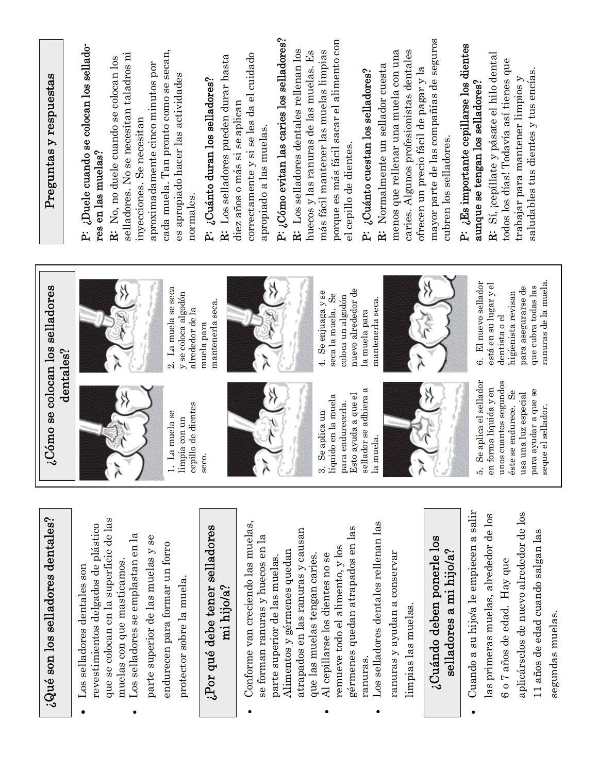| $\partial_{\alpha} \partial_{\alpha} \partial_{\alpha} \partial_{\alpha}$ and $\partial_{\alpha} \partial_{\alpha} \partial_{\alpha} \partial_{\alpha} \partial_{\alpha} \partial_{\alpha} \partial_{\alpha} \partial_{\alpha} \partial_{\alpha} \partial_{\alpha} \partial_{\alpha} \partial_{\alpha} \partial_{\alpha} \partial_{\alpha} \partial_{\alpha} \partial_{\alpha} \partial_{\alpha} \partial_{\alpha} \partial_{\alpha} \partial_{\alpha} \partial_{\alpha} \partial_{\alpha} \partial_{\alpha} \partial_{\alpha} \partial_{\alpha} \partial_{\alpha} \partial_{\alpha} \partial_{\alpha} \partial_{\alpha} \partial_{\alpha} \partial_{\alpha} \partial_{$                                       | .ು                                                                                                                                                                                                                                                                                                                                                 | Cómo se colocan los selladores<br>dentables?                                                                                                                                                                                                                                                       | Preguntas y respuestas                                                                                                                                                                                                                                                                                                                                                                                                                                                                                                                                                                                                                                                                                                                                                                                                                                                                |
|----------------------------------------------------------------------------------------------------------------------------------------------------------------------------------------------------------------------------------------------------------------------------------------------------------------------------------------------------------------------------------------------------------------------------------------------------------------------------------------------------------------------------------------------------------------------------------------------------------------------------------------------------------------------------------------------------------------|----------------------------------------------------------------------------------------------------------------------------------------------------------------------------------------------------------------------------------------------------------------------------------------------------------------------------------------------------|----------------------------------------------------------------------------------------------------------------------------------------------------------------------------------------------------------------------------------------------------------------------------------------------------|---------------------------------------------------------------------------------------------------------------------------------------------------------------------------------------------------------------------------------------------------------------------------------------------------------------------------------------------------------------------------------------------------------------------------------------------------------------------------------------------------------------------------------------------------------------------------------------------------------------------------------------------------------------------------------------------------------------------------------------------------------------------------------------------------------------------------------------------------------------------------------------|
| que se colocan en la superficie de las<br>revestimientos delgados de plástico<br>Los selladores se emplastan en la<br>parte superior de las muelas y se<br>endurecen para formar un forro<br>muelas con que masticamos.<br>Los selladores dentales son<br>protector sobre la muela.                                                                                                                                                                                                                                                                                                                                                                                                                            | cepillo de dientes<br>La muela se<br>limpia con un<br>$\div$                                                                                                                                                                                                                                                                                       | 2. La muela se seca<br>y se coloca algodón<br>alrededor de la                                                                                                                                                                                                                                      | Duele cuando se colocan los sellado-<br>cada muela. Tan pronto como se secan,<br>selladores. No se necesitan taladros ni<br>R: No, no duele cuando se colocan los<br>aproximadamente cinco minutos por<br>es apropiado hacer las actividades<br>inyecciones. Se necesitan<br>res en las muelas?<br>normales.<br>.<br>Ai                                                                                                                                                                                                                                                                                                                                                                                                                                                                                                                                                               |
| ¿Por qué debe tener selladores<br>mi hijo/a?                                                                                                                                                                                                                                                                                                                                                                                                                                                                                                                                                                                                                                                                   | seco.                                                                                                                                                                                                                                                                                                                                              | mantenerla seca.<br>muela para                                                                                                                                                                                                                                                                     | R: Los selladores pueden durar hasta<br>P: ¿Cuánto duran los selladores?                                                                                                                                                                                                                                                                                                                                                                                                                                                                                                                                                                                                                                                                                                                                                                                                              |
| Cuando a su hijo/a le empiecen a salir<br>aplicárselos de nuevo alrededor de los<br>las primeras muelas, alrededor de los<br>Conforme van creciendo las muelas,<br>Los selladores dentales rellenan las<br>gérmenes quedan atrapados en las<br>atrapados en las ranuras y causan<br>11 años de edad cuando salgan las<br>¿Cuándo deben ponerle los<br>se forman ranuras y huecos en la<br>remueve todo el alimento, y los<br>selladores a mi hijo/a?<br>Alimentos y gérmenes quedan<br>ranuras y ayudan a conservar<br>que las muelas tengan caries.<br>Al cepillarse los dientes no se<br>parte superior de las muelas.<br>6 o 7 años de edad. Hay que<br>limpias las muelas.<br>segundas muelas.<br>ranuras. | Se aplica el sellador<br>unos cuantos segundos<br>forma líquida y en<br>lador se adhiera a<br>para ayudar a que se<br>Se<br>usa una luz especial<br>Esto ayuda a que el<br>líquido en la muela<br>para endurecerla.<br>éste se endurece.<br>seque el sellador.<br>Se aplica un<br>la muela.<br><b>T</b> es<br>λ<br>$\frac{1}{2}$<br>λ<br>ကဲ<br>ນວ່ | ranuras de la muela.<br>6. El nuevo sellador<br>está en su lugar y el<br>que cubra todas las<br>para asegurarse de<br>nuevo alrededor de<br>higienista revisan<br>Se enjuaga y se<br>Se<br>coloca un algodón<br>mantenerla seca.<br>seca la muela.<br>la muela para<br>dentista o el<br>$\ddot{ }$ | P: ¿Cómo evitan las caries los selladores?<br>mayor parte de las compañías de seguros<br>porque es más fácil sacar el alimento con<br>P: ¿Es importante cepillarse los dientes<br>R: Los selladores dentales rellenan los<br>más fácil mantener las muelas limpias<br>menos que rellenar una muela con una<br>caries. Algunos profesionistas dentales<br>huecos y las ranuras de las muelas. Es<br>correctamente y si se les da el cuidado<br>R: Sí, ¡cepíllate y pásate el hilo dental<br>todos los días! Todavía así tienes que<br>R: Normalmente un sellador cuesta<br>ofrecen un precio fácil de pagar y la<br>P: ¿Cuánto cuestan los selladores?<br>saludables tus dientes y tus encias.<br>trabajar para mantener limpios y<br>aunque se tengan los selladores?<br>diez años o más si se aplican<br>apropiado a las muelas.<br>cubren los selladores.<br>el cepillo de dientes. |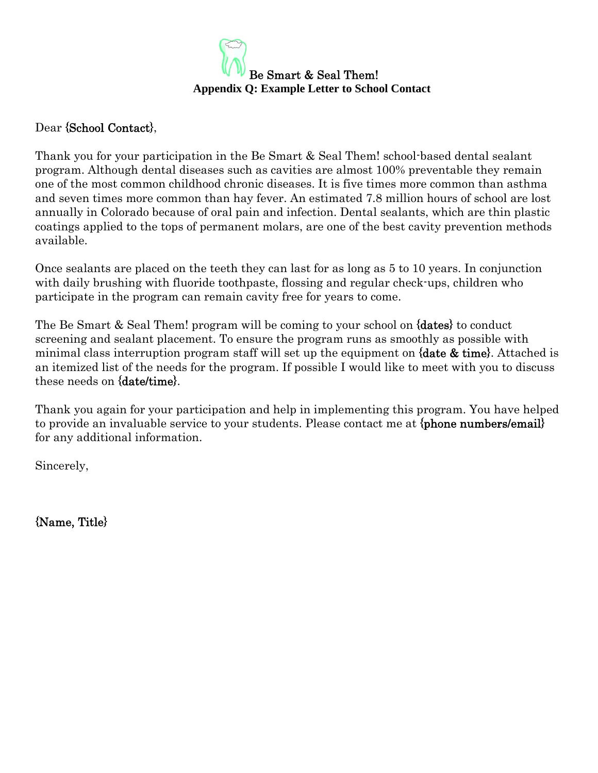

#### Dear {School Contact}.

Thank you for your participation in the Be Smart & Seal Them! school-based dental sealant program. Although dental diseases such as cavities are almost 100% preventable they remain one of the most common childhood chronic diseases. It is five times more common than asthma and seven times more common than hay fever. An estimated 7.8 million hours of school are lost annually in Colorado because of oral pain and infection. Dental sealants, which are thin plastic coatings applied to the tops of permanent molars, are one of the best cavity prevention methods available.

Once sealants are placed on the teeth they can last for as long as 5 to 10 years. In conjunction with daily brushing with fluoride toothpaste, flossing and regular check-ups, children who participate in the program can remain cavity free for years to come.

The Be Smart & Seal Them! program will be coming to your school on {dates} to conduct screening and sealant placement. To ensure the program runs as smoothly as possible with minimal class interruption program staff will set up the equipment on  $\delta$  attacked is an itemized list of the needs for the program. If possible I would like to meet with you to discuss these needs on {date/time}.

Thank you again for your participation and help in implementing this program. You have helped to provide an invaluable service to your students. Please contact me at  ${phonenumbers/email}$ for any additional information.

Sincerely,

{Name, Title}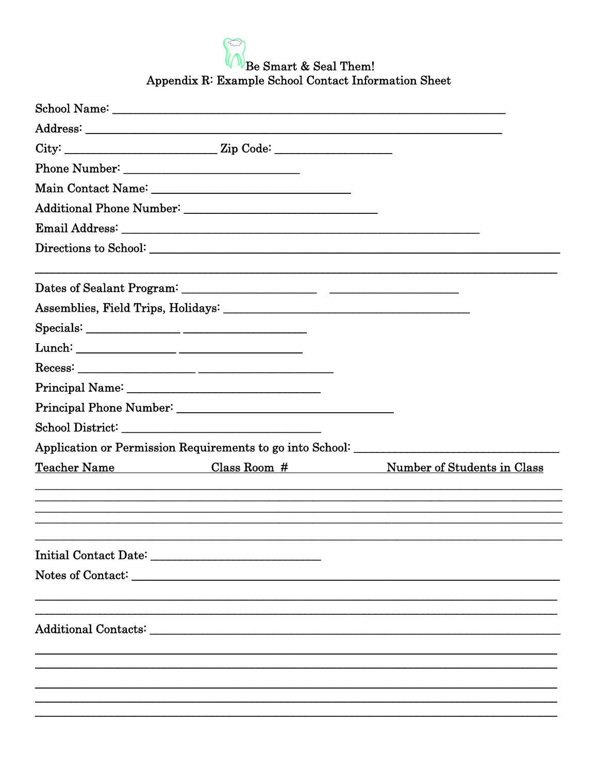Be Smart & Seal Them!<br>Appendix R: Example School Contact Information Sheet

| School Name: Name: Name School Name School Name School Name School Name School Name School Name School Name School Name School Name School Name School Name School Name School Name School Name School Name School Name School |                                                                                   |
|--------------------------------------------------------------------------------------------------------------------------------------------------------------------------------------------------------------------------------|-----------------------------------------------------------------------------------|
|                                                                                                                                                                                                                                |                                                                                   |
|                                                                                                                                                                                                                                |                                                                                   |
|                                                                                                                                                                                                                                |                                                                                   |
| Main Contact Name: 1988 Main Contact Name: 1988                                                                                                                                                                                |                                                                                   |
|                                                                                                                                                                                                                                |                                                                                   |
|                                                                                                                                                                                                                                |                                                                                   |
|                                                                                                                                                                                                                                |                                                                                   |
|                                                                                                                                                                                                                                |                                                                                   |
|                                                                                                                                                                                                                                |                                                                                   |
|                                                                                                                                                                                                                                |                                                                                   |
|                                                                                                                                                                                                                                |                                                                                   |
|                                                                                                                                                                                                                                |                                                                                   |
|                                                                                                                                                                                                                                |                                                                                   |
|                                                                                                                                                                                                                                |                                                                                   |
|                                                                                                                                                                                                                                |                                                                                   |
|                                                                                                                                                                                                                                | Application or Permission Requirements to go into School: _______________________ |
|                                                                                                                                                                                                                                | Teacher Name Class Room # Number of Students in Class                             |
|                                                                                                                                                                                                                                |                                                                                   |
|                                                                                                                                                                                                                                |                                                                                   |
|                                                                                                                                                                                                                                |                                                                                   |
|                                                                                                                                                                                                                                |                                                                                   |
|                                                                                                                                                                                                                                |                                                                                   |
|                                                                                                                                                                                                                                |                                                                                   |
|                                                                                                                                                                                                                                |                                                                                   |
|                                                                                                                                                                                                                                |                                                                                   |